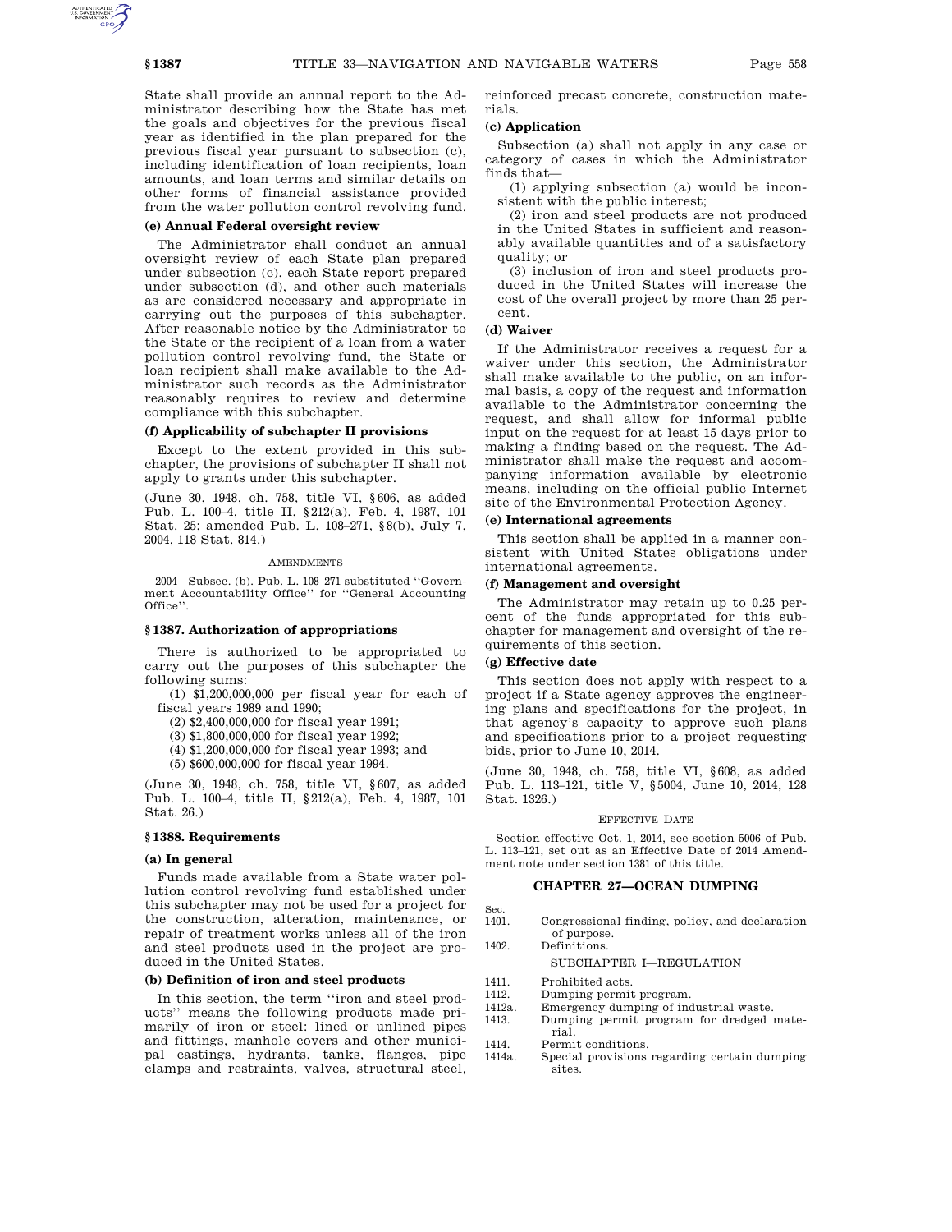State shall provide an annual report to the Administrator describing how the State has met the goals and objectives for the previous fiscal year as identified in the plan prepared for the previous fiscal year pursuant to subsection (c), including identification of loan recipients, loan amounts, and loan terms and similar details on other forms of financial assistance provided from the water pollution control revolving fund.

# **(e) Annual Federal oversight review**

The Administrator shall conduct an annual oversight review of each State plan prepared under subsection (c), each State report prepared under subsection (d), and other such materials as are considered necessary and appropriate in carrying out the purposes of this subchapter. After reasonable notice by the Administrator to the State or the recipient of a loan from a water pollution control revolving fund, the State or loan recipient shall make available to the Administrator such records as the Administrator reasonably requires to review and determine compliance with this subchapter.

# **(f) Applicability of subchapter II provisions**

Except to the extent provided in this subchapter, the provisions of subchapter II shall not apply to grants under this subchapter.

(June 30, 1948, ch. 758, title VI, §606, as added Pub. L. 100–4, title II, §212(a), Feb. 4, 1987, 101 Stat. 25; amended Pub. L. 108–271, §8(b), July 7, 2004, 118 Stat. 814.)

#### **AMENDMENTS**

2004—Subsec. (b). Pub. L. 108–271 substituted ''Government Accountability Office'' for ''General Accounting Office''.

#### **§ 1387. Authorization of appropriations**

There is authorized to be appropriated to carry out the purposes of this subchapter the following sums:

(1) \$1,200,000,000 per fiscal year for each of fiscal years 1989 and 1990;

(2) \$2,400,000,000 for fiscal year 1991;

(3) \$1,800,000,000 for fiscal year 1992;

(4) \$1,200,000,000 for fiscal year 1993; and

(5) \$600,000,000 for fiscal year 1994.

(June 30, 1948, ch. 758, title VI, §607, as added Pub. L. 100–4, title II, §212(a), Feb. 4, 1987, 101 Stat. 26.)

# **§ 1388. Requirements**

#### **(a) In general**

Funds made available from a State water pollution control revolving fund established under this subchapter may not be used for a project for the construction, alteration, maintenance, or repair of treatment works unless all of the iron and steel products used in the project are produced in the United States.

#### **(b) Definition of iron and steel products**

In this section, the term ''iron and steel products'' means the following products made primarily of iron or steel: lined or unlined pipes and fittings, manhole covers and other municipal castings, hydrants, tanks, flanges, pipe clamps and restraints, valves, structural steel, reinforced precast concrete, construction materials.

#### **(c) Application**

Subsection (a) shall not apply in any case or category of cases in which the Administrator finds that—

(1) applying subsection (a) would be inconsistent with the public interest;

(2) iron and steel products are not produced in the United States in sufficient and reasonably available quantities and of a satisfactory quality; or

(3) inclusion of iron and steel products produced in the United States will increase the cost of the overall project by more than 25 percent.

#### **(d) Waiver**

If the Administrator receives a request for a waiver under this section, the Administrator shall make available to the public, on an informal basis, a copy of the request and information available to the Administrator concerning the request, and shall allow for informal public input on the request for at least 15 days prior to making a finding based on the request. The Administrator shall make the request and accompanying information available by electronic means, including on the official public Internet site of the Environmental Protection Agency.

#### **(e) International agreements**

This section shall be applied in a manner consistent with United States obligations under international agreements.

#### **(f) Management and oversight**

The Administrator may retain up to 0.25 percent of the funds appropriated for this subchapter for management and oversight of the requirements of this section.

# **(g) Effective date**

This section does not apply with respect to a project if a State agency approves the engineering plans and specifications for the project, in that agency's capacity to approve such plans and specifications prior to a project requesting bids, prior to June 10, 2014.

(June 30, 1948, ch. 758, title VI, §608, as added Pub. L. 113–121, title V, §5004, June 10, 2014, 128 Stat. 1326.)

#### EFFECTIVE DATE

Section effective Oct. 1, 2014, see section 5006 of Pub. L. 113–121, set out as an Effective Date of 2014 Amendment note under section 1381 of this title.

#### **CHAPTER 27—OCEAN DUMPING**

Sec.<br>1401 Congressional finding, policy, and declaration of purpose.

1402. Definitions.

#### SUBCHAPTER **L\_REGULATION**

- 1411. Prohibited acts.<br>1412. Dumping permit
- 1412. Dumping permit program.<br>1412a. Emergency dumping of ind
- Emergency dumping of industrial waste.
- 1413. Dumping permit program for dredged material.
- 1414. Permit conditions.
- 1414a. Special provisions regarding certain dumping sites.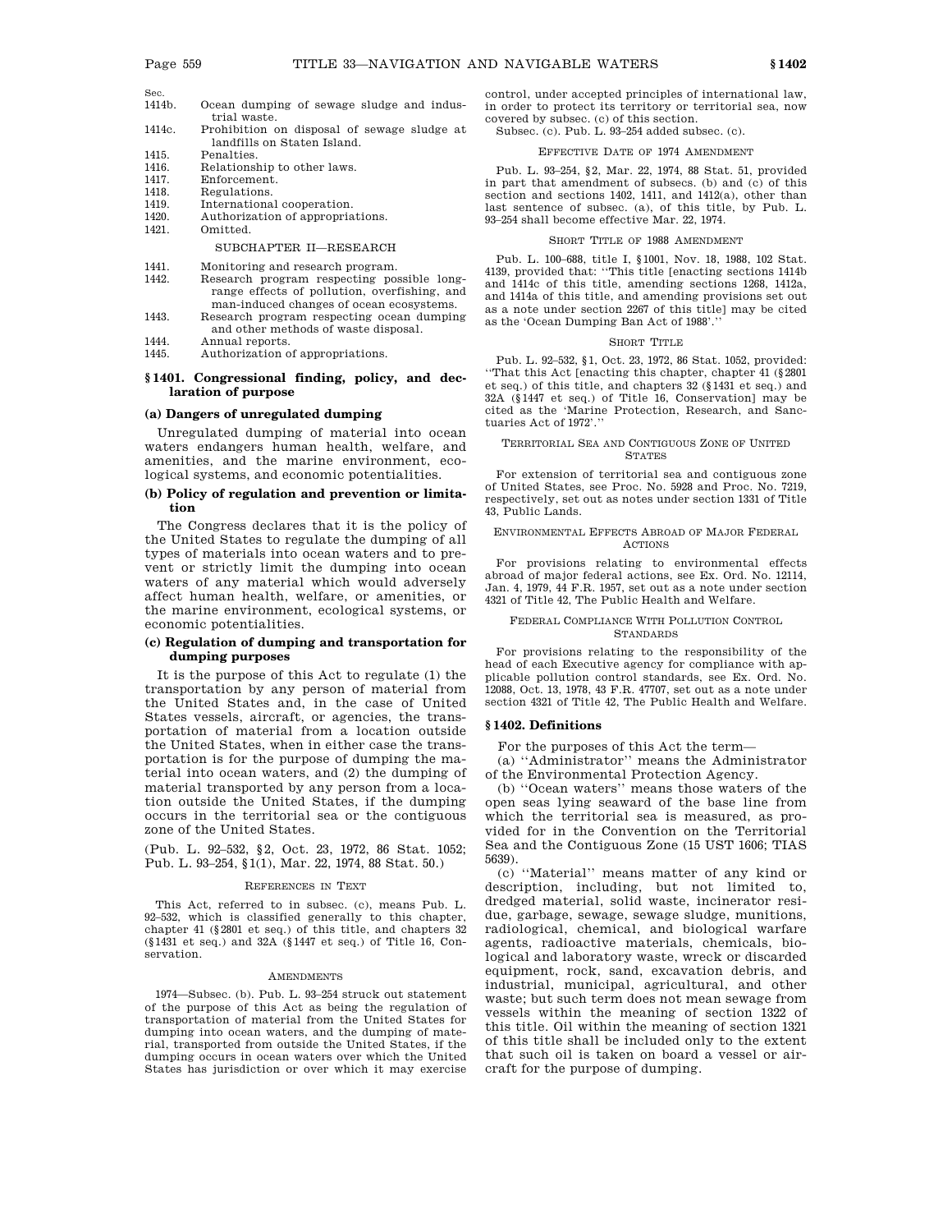- Sec.<br>1414b Ocean dumping of sewage sludge and industrial waste.
- 1414c. Prohibition on disposal of sewage sludge at landfills on Staten Island.
- 1415. Penalties.
- 1416. Relationship to other laws.<br>1417. Enforcement.
- 1417. Enforcement.<br>1418. Regulations.
- 1418. Regulations.<br>1419. Internationa
- 1419. International cooperation.<br>1420. Authorization of appropria 1420. Authorization of appropriations.<br>1421. Omitted.
- Omitted.

#### SUBCHAPTER II—RESEARCH

- 
- 1441. Monitoring and research program.<br>1442. Research program respecting points Research program respecting possible longrange effects of pollution, overfishing, and man-induced changes of ocean ecosystems.
- 1443. Research program respecting ocean dumping and other methods of waste disposal.
- 1444. Annual reports.
- 1445. Authorization of appropriations.

# **§ 1401. Congressional finding, policy, and declaration of purpose**

#### **(a) Dangers of unregulated dumping**

Unregulated dumping of material into ocean waters endangers human health, welfare, and amenities, and the marine environment, ecological systems, and economic potentialities.

## **(b) Policy of regulation and prevention or limitation**

The Congress declares that it is the policy of the United States to regulate the dumping of all types of materials into ocean waters and to prevent or strictly limit the dumping into ocean waters of any material which would adversely affect human health, welfare, or amenities, or the marine environment, ecological systems, or economic potentialities.

# **(c) Regulation of dumping and transportation for dumping purposes**

It is the purpose of this Act to regulate (1) the transportation by any person of material from the United States and, in the case of United States vessels, aircraft, or agencies, the transportation of material from a location outside the United States, when in either case the transportation is for the purpose of dumping the material into ocean waters, and (2) the dumping of material transported by any person from a location outside the United States, if the dumping occurs in the territorial sea or the contiguous zone of the United States.

(Pub. L. 92–532, §2, Oct. 23, 1972, 86 Stat. 1052; Pub. L. 93–254, §1(1), Mar. 22, 1974, 88 Stat. 50.)

#### REFERENCES IN TEXT

This Act, referred to in subsec. (c), means Pub. L. 92–532, which is classified generally to this chapter, chapter 41 (§2801 et seq.) of this title, and chapters 32 (§1431 et seq.) and 32A (§1447 et seq.) of Title 16, Conservation.

#### AMENDMENTS

1974—Subsec. (b). Pub. L. 93–254 struck out statement of the purpose of this Act as being the regulation of transportation of material from the United States for dumping into ocean waters, and the dumping of material, transported from outside the United States, if the dumping occurs in ocean waters over which the United States has jurisdiction or over which it may exercise

control, under accepted principles of international law, in order to protect its territory or territorial sea, now covered by subsec. (c) of this section. Subsec. (c). Pub. L. 93–254 added subsec. (c).

EFFECTIVE DATE OF 1974 AMENDMENT

Pub. L. 93–254, §2, Mar. 22, 1974, 88 Stat. 51, provided in part that amendment of subsecs. (b) and (c) of this section and sections 1402, 1411, and 1412(a), other than last sentence of subsec. (a), of this title, by Pub. L. 93–254 shall become effective Mar. 22, 1974.

#### SHORT TITLE OF 1988 AMENDMENT

Pub. L. 100–688, title I, §1001, Nov. 18, 1988, 102 Stat. 4139, provided that: ''This title [enacting sections 1414b and 1414c of this title, amending sections 1268, 1412a, and 1414a of this title, and amending provisions set out as a note under section 2267 of this title] may be cited as the 'Ocean Dumping Ban Act of 1988'.''

#### SHORT TITLE

Pub. L. 92–532, §1, Oct. 23, 1972, 86 Stat. 1052, provided: ''That this Act [enacting this chapter, chapter 41 (§2801 et seq.) of this title, and chapters 32 (§1431 et seq.) and 32A (§1447 et seq.) of Title 16, Conservation] may be cited as the 'Marine Protection, Research, and Sanctuaries Act of 1972'.''

#### TERRITORIAL SEA AND CONTIGUOUS ZONE OF UNITED **STATES**

For extension of territorial sea and contiguous zone of United States, see Proc. No. 5928 and Proc. No. 7219, respectively, set out as notes under section 1331 of Title 43, Public Lands.

#### ENVIRONMENTAL EFFECTS ABROAD OF MAJOR FEDERAL **ACTIONS**

For provisions relating to environmental effects abroad of major federal actions, see Ex. Ord. No. 12114, Jan. 4, 1979, 44 F.R. 1957, set out as a note under section 4321 of Title 42, The Public Health and Welfare.

#### FEDERAL COMPLIANCE WITH POLLUTION CONTROL **STANDARDS**

For provisions relating to the responsibility of the head of each Executive agency for compliance with applicable pollution control standards, see Ex. Ord. No. 12088, Oct. 13, 1978, 43 F.R. 47707, set out as a note under section 4321 of Title 42, The Public Health and Welfare.

#### **§ 1402. Definitions**

For the purposes of this Act the term—

(a) ''Administrator'' means the Administrator of the Environmental Protection Agency.

(b) ''Ocean waters'' means those waters of the open seas lying seaward of the base line from which the territorial sea is measured, as provided for in the Convention on the Territorial Sea and the Contiguous Zone (15 UST 1606; TIAS 5639).

(c) ''Material'' means matter of any kind or description, including, but not limited to, dredged material, solid waste, incinerator residue, garbage, sewage, sewage sludge, munitions, radiological, chemical, and biological warfare agents, radioactive materials, chemicals, biological and laboratory waste, wreck or discarded equipment, rock, sand, excavation debris, and industrial, municipal, agricultural, and other waste; but such term does not mean sewage from vessels within the meaning of section 1322 of this title. Oil within the meaning of section 1321 of this title shall be included only to the extent that such oil is taken on board a vessel or aircraft for the purpose of dumping.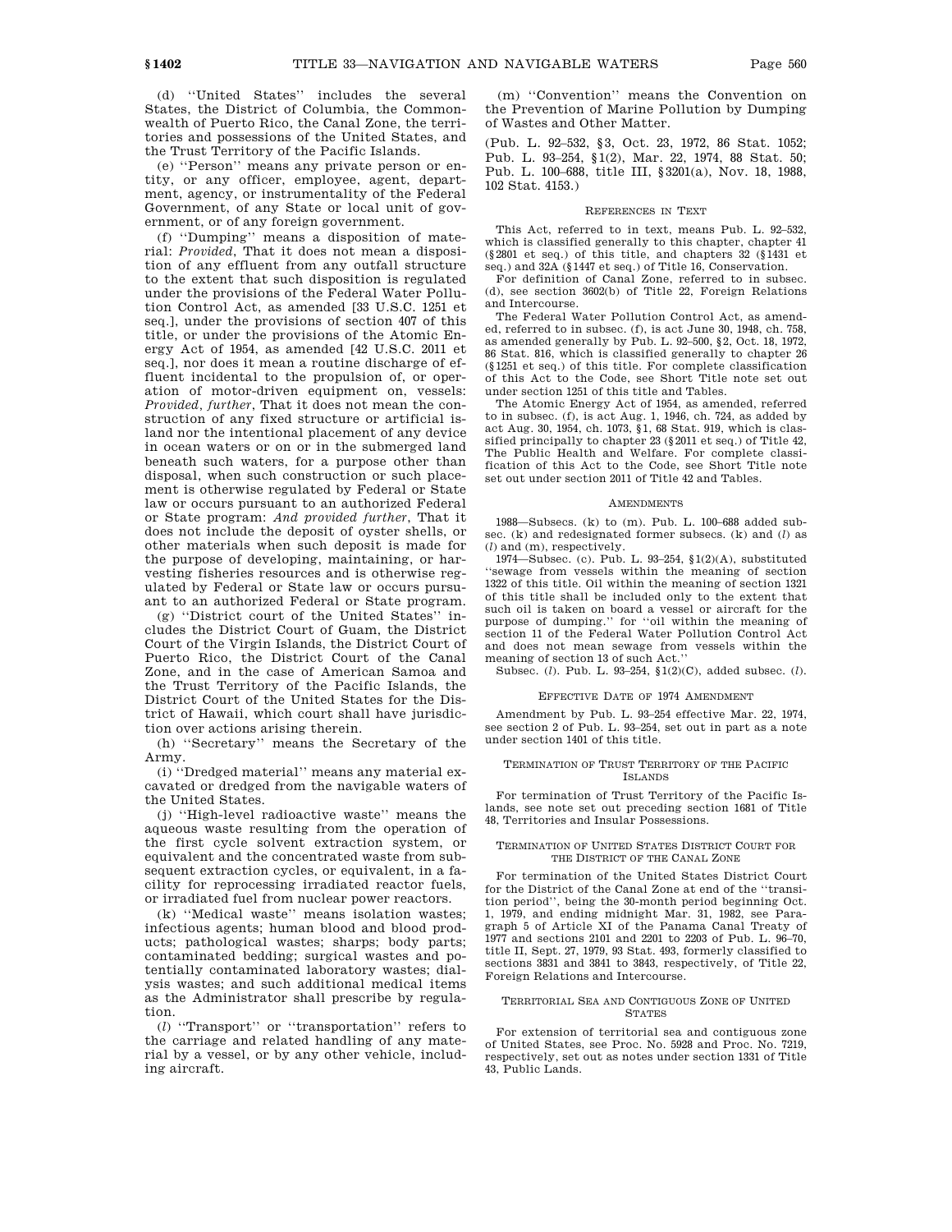(d) ''United States'' includes the several States, the District of Columbia, the Commonwealth of Puerto Rico, the Canal Zone, the territories and possessions of the United States, and the Trust Territory of the Pacific Islands.

(e) ''Person'' means any private person or entity, or any officer, employee, agent, department, agency, or instrumentality of the Federal Government, of any State or local unit of government, or of any foreign government.

(f) ''Dumping'' means a disposition of material: *Provided*, That it does not mean a disposition of any effluent from any outfall structure to the extent that such disposition is regulated under the provisions of the Federal Water Pollution Control Act, as amended [33 U.S.C. 1251 et seq.], under the provisions of section 407 of this title, or under the provisions of the Atomic Energy Act of 1954, as amended [42 U.S.C. 2011 et seq.], nor does it mean a routine discharge of effluent incidental to the propulsion of, or operation of motor-driven equipment on, vessels: *Provided, further*, That it does not mean the construction of any fixed structure or artificial island nor the intentional placement of any device in ocean waters or on or in the submerged land beneath such waters, for a purpose other than disposal, when such construction or such placement is otherwise regulated by Federal or State law or occurs pursuant to an authorized Federal or State program: *And provided further*, That it does not include the deposit of oyster shells, or other materials when such deposit is made for the purpose of developing, maintaining, or harvesting fisheries resources and is otherwise regulated by Federal or State law or occurs pursuant to an authorized Federal or State program.

(g) ''District court of the United States'' includes the District Court of Guam, the District Court of the Virgin Islands, the District Court of Puerto Rico, the District Court of the Canal Zone, and in the case of American Samoa and the Trust Territory of the Pacific Islands, the District Court of the United States for the District of Hawaii, which court shall have jurisdiction over actions arising therein.

(h) ''Secretary'' means the Secretary of the Army.

(i) ''Dredged material'' means any material excavated or dredged from the navigable waters of the United States.

(j) ''High-level radioactive waste'' means the aqueous waste resulting from the operation of the first cycle solvent extraction system, or equivalent and the concentrated waste from subsequent extraction cycles, or equivalent, in a facility for reprocessing irradiated reactor fuels, or irradiated fuel from nuclear power reactors.

(k) ''Medical waste'' means isolation wastes; infectious agents; human blood and blood products; pathological wastes; sharps; body parts; contaminated bedding; surgical wastes and potentially contaminated laboratory wastes; dialysis wastes; and such additional medical items as the Administrator shall prescribe by regulation.

(*l*) ''Transport'' or ''transportation'' refers to the carriage and related handling of any material by a vessel, or by any other vehicle, including aircraft.

(m) ''Convention'' means the Convention on the Prevention of Marine Pollution by Dumping of Wastes and Other Matter.

(Pub. L. 92–532, §3, Oct. 23, 1972, 86 Stat. 1052; Pub. L. 93–254, §1(2), Mar. 22, 1974, 88 Stat. 50; Pub. L. 100–688, title III, §3201(a), Nov. 18, 1988, 102 Stat. 4153.)

#### REFERENCES IN TEXT

This Act, referred to in text, means Pub. L. 92–532, which is classified generally to this chapter, chapter 41 (§2801 et seq.) of this title, and chapters 32 (§1431 et seq.) and 32A (§1447 et seq.) of Title 16, Conservation.

For definition of Canal Zone, referred to in subsec. (d), see section 3602(b) of Title 22, Foreign Relations and Intercourse.

The Federal Water Pollution Control Act, as amended, referred to in subsec. (f), is act June 30, 1948, ch. 758, as amended generally by Pub. L. 92–500, §2, Oct. 18, 1972, 86 Stat. 816, which is classified generally to chapter 26 (§1251 et seq.) of this title. For complete classification of this Act to the Code, see Short Title note set out under section 1251 of this title and Tables.

The Atomic Energy Act of 1954, as amended, referred to in subsec. (f), is act Aug. 1, 1946, ch. 724, as added by act Aug. 30, 1954, ch. 1073, §1, 68 Stat. 919, which is clas-sified principally to chapter 23 (§2011 et seq.) of Title 42, The Public Health and Welfare. For complete classification of this Act to the Code, see Short Title note set out under section 2011 of Title 42 and Tables.

#### **AMENDMENTS**

1988—Subsecs. (k) to (m). Pub. L. 100–688 added subsec. (k) and redesignated former subsecs. (k) and (*l*) as (*l*) and (m), respectively.

1974—Subsec. (c). Pub. L. 93–254, §1(2)(A), substituted ''sewage from vessels within the meaning of section 1322 of this title. Oil within the meaning of section 1321 of this title shall be included only to the extent that such oil is taken on board a vessel or aircraft for the purpose of dumping.'' for ''oil within the meaning of section 11 of the Federal Water Pollution Control Act and does not mean sewage from vessels within the meaning of section 13 of such Act.''

Subsec. (*l*). Pub. L. 93–254, §1(2)(C), added subsec. (*l*).

#### EFFECTIVE DATE OF 1974 AMENDMENT

Amendment by Pub. L. 93–254 effective Mar. 22, 1974, see section 2 of Pub. L. 93–254, set out in part as a note under section 1401 of this title.

#### TERMINATION OF TRUST TERRITORY OF THE PACIFIC ISLANDS

For termination of Trust Territory of the Pacific Islands, see note set out preceding section 1681 of Title 48, Territories and Insular Possessions.

#### TERMINATION OF UNITED STATES DISTRICT COURT FOR THE DISTRICT OF THE CANAL ZONE

For termination of the United States District Court for the District of the Canal Zone at end of the ''transition period'', being the 30-month period beginning Oct. 1, 1979, and ending midnight Mar. 31, 1982, see Paragraph 5 of Article XI of the Panama Canal Treaty of 1977 and sections 2101 and 2201 to 2203 of Pub. L. 96–70, title II, Sept. 27, 1979, 93 Stat. 493, formerly classified to sections 3831 and 3841 to 3843, respectively, of Title 22, Foreign Relations and Intercourse.

#### TERRITORIAL SEA AND CONTIGUOUS ZONE OF UNITED STATES

For extension of territorial sea and contiguous zone of United States, see Proc. No. 5928 and Proc. No. 7219, respectively, set out as notes under section 1331 of Title 43, Public Lands.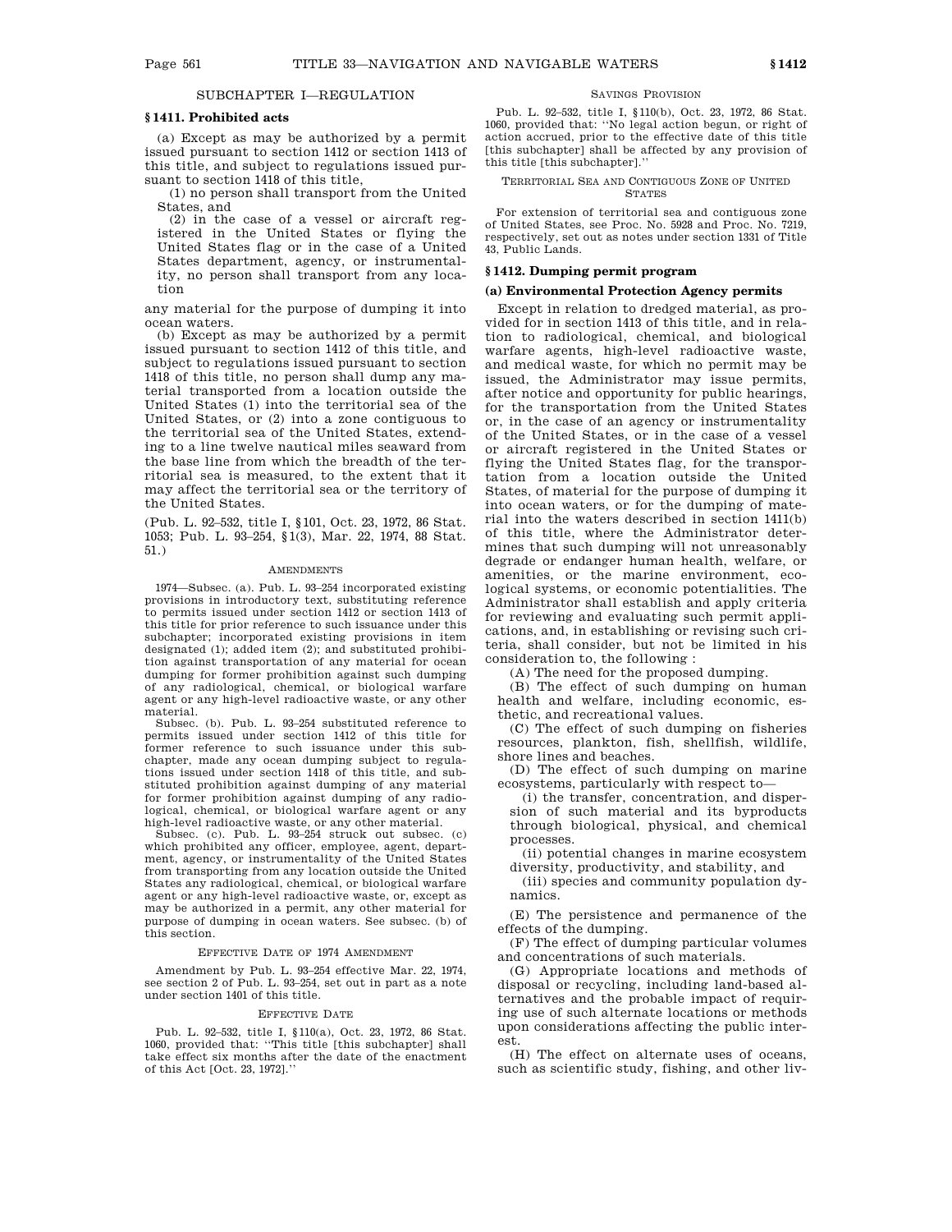# SUBCHAPTER I—REGULATION

# **§ 1411. Prohibited acts**

(a) Except as may be authorized by a permit issued pursuant to section 1412 or section 1413 of this title, and subject to regulations issued pursuant to section 1418 of this title,

(1) no person shall transport from the United States, and

(2) in the case of a vessel or aircraft registered in the United States or flying the United States flag or in the case of a United States department, agency, or instrumentality, no person shall transport from any location

any material for the purpose of dumping it into ocean waters.

(b) Except as may be authorized by a permit issued pursuant to section 1412 of this title, and subject to regulations issued pursuant to section 1418 of this title, no person shall dump any material transported from a location outside the United States (1) into the territorial sea of the United States, or (2) into a zone contiguous to the territorial sea of the United States, extending to a line twelve nautical miles seaward from the base line from which the breadth of the territorial sea is measured, to the extent that it may affect the territorial sea or the territory of the United States.

(Pub. L. 92–532, title I, §101, Oct. 23, 1972, 86 Stat. 1053; Pub. L. 93–254, §1(3), Mar. 22, 1974, 88 Stat. 51.)

#### AMENDMENTS

1974—Subsec. (a). Pub. L. 93–254 incorporated existing provisions in introductory text, substituting reference to permits issued under section 1412 or section 1413 of this title for prior reference to such issuance under this subchapter; incorporated existing provisions in item designated (1); added item (2); and substituted prohibition against transportation of any material for ocean dumping for former prohibition against such dumping of any radiological, chemical, or biological warfare agent or any high-level radioactive waste, or any other material.

Subsec. (b). Pub. L. 93–254 substituted reference to permits issued under section 1412 of this title for former reference to such issuance under this subchapter, made any ocean dumping subject to regulations issued under section 1418 of this title, and substituted prohibition against dumping of any material for former prohibition against dumping of any radiological, chemical, or biological warfare agent or any high-level radioactive waste, or any other material. Subsec. (c). Pub. L. 93–254 struck out subsec. (c)

which prohibited any officer, employee, agent, department, agency, or instrumentality of the United States from transporting from any location outside the United States any radiological, chemical, or biological warfare agent or any high-level radioactive waste, or, except as may be authorized in a permit, any other material for purpose of dumping in ocean waters. See subsec. (b) of this section.

#### EFFECTIVE DATE OF 1974 AMENDMENT

Amendment by Pub. L. 93–254 effective Mar. 22, 1974, see section 2 of Pub. L. 93–254, set out in part as a note under section 1401 of this title.

#### EFFECTIVE DATE

Pub. L. 92–532, title I, §110(a), Oct. 23, 1972, 86 Stat. 1060, provided that: ''This title [this subchapter] shall take effect six months after the date of the enactment of this Act [Oct. 23, 1972].''

#### SAVINGS PROVISION

Pub. L. 92–532, title I, §110(b), Oct. 23, 1972, 86 Stat. 1060, provided that: ''No legal action begun, or right of action accrued, prior to the effective date of this title [this subchapter] shall be affected by any provision of this title [this subchapter].''

#### TERRITORIAL SEA AND CONTIGUOUS ZONE OF UNITED **STATES**

For extension of territorial sea and contiguous zone of United States, see Proc. No. 5928 and Proc. No. 7219, respectively, set out as notes under section 1331 of Title 43, Public Lands.

#### **§ 1412. Dumping permit program**

# **(a) Environmental Protection Agency permits**

Except in relation to dredged material, as provided for in section 1413 of this title, and in relation to radiological, chemical, and biological warfare agents, high-level radioactive waste, and medical waste, for which no permit may be issued, the Administrator may issue permits, after notice and opportunity for public hearings, for the transportation from the United States or, in the case of an agency or instrumentality of the United States, or in the case of a vessel or aircraft registered in the United States or flying the United States flag, for the transportation from a location outside the United States, of material for the purpose of dumping it into ocean waters, or for the dumping of material into the waters described in section 1411(b) of this title, where the Administrator determines that such dumping will not unreasonably degrade or endanger human health, welfare, or amenities, or the marine environment, ecological systems, or economic potentialities. The Administrator shall establish and apply criteria for reviewing and evaluating such permit applications, and, in establishing or revising such criteria, shall consider, but not be limited in his consideration to, the following :

(A) The need for the proposed dumping.

(B) The effect of such dumping on human health and welfare, including economic, esthetic, and recreational values.

(C) The effect of such dumping on fisheries resources, plankton, fish, shellfish, wildlife, shore lines and beaches.

(D) The effect of such dumping on marine ecosystems, particularly with respect to—

(i) the transfer, concentration, and dispersion of such material and its byproducts through biological, physical, and chemical processes.

(ii) potential changes in marine ecosystem diversity, productivity, and stability, and

(iii) species and community population dynamics.

(E) The persistence and permanence of the effects of the dumping.

(F) The effect of dumping particular volumes and concentrations of such materials.

(G) Appropriate locations and methods of disposal or recycling, including land-based alternatives and the probable impact of requiring use of such alternate locations or methods upon considerations affecting the public interest.

(H) The effect on alternate uses of oceans, such as scientific study, fishing, and other liv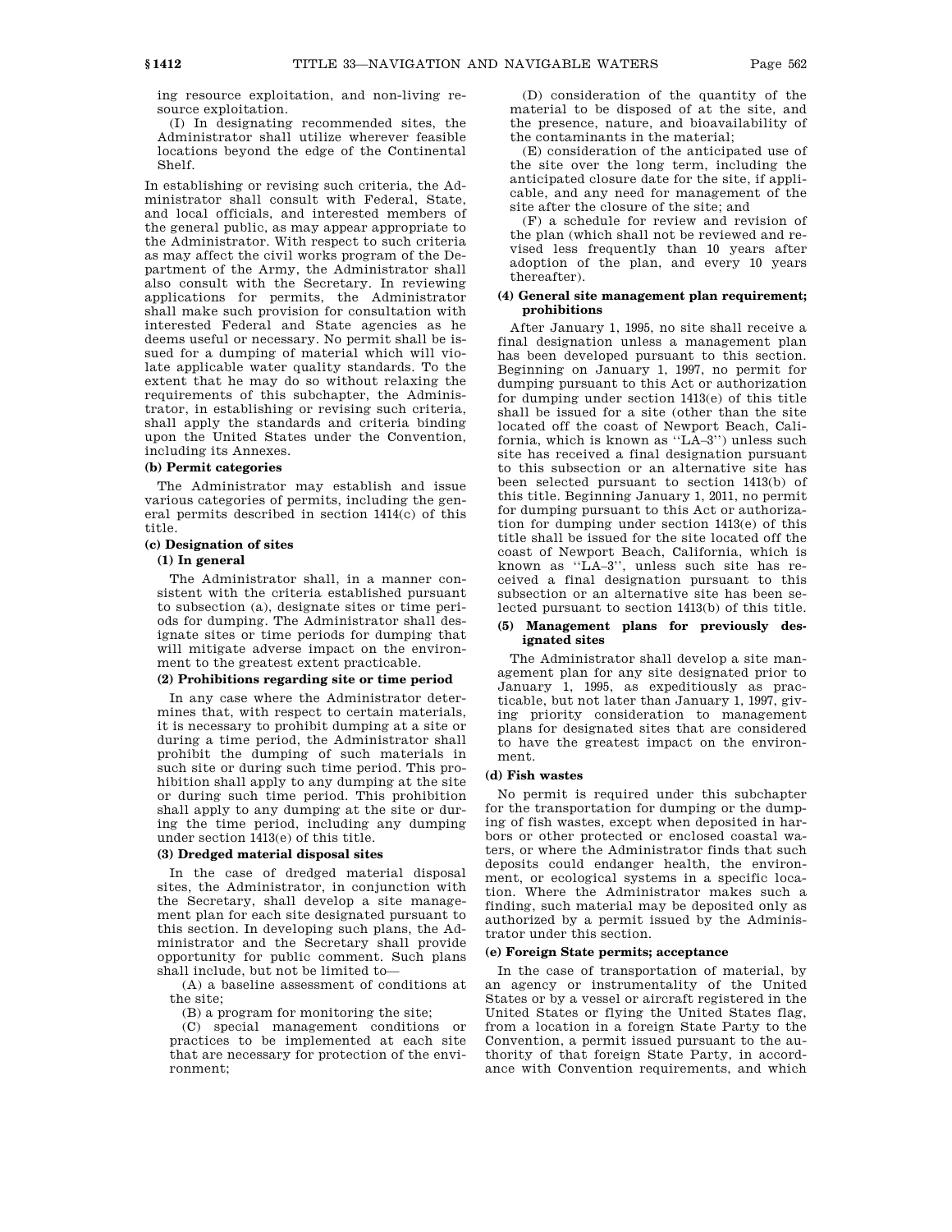ing resource exploitation, and non-living resource exploitation.

(I) In designating recommended sites, the Administrator shall utilize wherever feasible locations beyond the edge of the Continental Shelf.

In establishing or revising such criteria, the Administrator shall consult with Federal, State, and local officials, and interested members of the general public, as may appear appropriate to the Administrator. With respect to such criteria as may affect the civil works program of the Department of the Army, the Administrator shall also consult with the Secretary. In reviewing applications for permits, the Administrator shall make such provision for consultation with interested Federal and State agencies as he deems useful or necessary. No permit shall be issued for a dumping of material which will violate applicable water quality standards. To the extent that he may do so without relaxing the requirements of this subchapter, the Administrator, in establishing or revising such criteria, shall apply the standards and criteria binding upon the United States under the Convention, including its Annexes.

# **(b) Permit categories**

The Administrator may establish and issue various categories of permits, including the general permits described in section 1414(c) of this title.

#### **(c) Designation of sites**

#### **(1) In general**

The Administrator shall, in a manner consistent with the criteria established pursuant to subsection (a), designate sites or time periods for dumping. The Administrator shall designate sites or time periods for dumping that will mitigate adverse impact on the environment to the greatest extent practicable.

# **(2) Prohibitions regarding site or time period**

In any case where the Administrator determines that, with respect to certain materials, it is necessary to prohibit dumping at a site or during a time period, the Administrator shall prohibit the dumping of such materials in such site or during such time period. This prohibition shall apply to any dumping at the site or during such time period. This prohibition shall apply to any dumping at the site or during the time period, including any dumping under section 1413(e) of this title.

# **(3) Dredged material disposal sites**

In the case of dredged material disposal sites, the Administrator, in conjunction with the Secretary, shall develop a site management plan for each site designated pursuant to this section. In developing such plans, the Administrator and the Secretary shall provide opportunity for public comment. Such plans shall include, but not be limited to—

(A) a baseline assessment of conditions at the site;

(B) a program for monitoring the site;

(C) special management conditions or practices to be implemented at each site that are necessary for protection of the environment;

(D) consideration of the quantity of the material to be disposed of at the site, and the presence, nature, and bioavailability of the contaminants in the material;

(E) consideration of the anticipated use of the site over the long term, including the anticipated closure date for the site, if applicable, and any need for management of the site after the closure of the site; and

(F) a schedule for review and revision of the plan (which shall not be reviewed and revised less frequently than 10 years after adoption of the plan, and every 10 years thereafter).

#### **(4) General site management plan requirement; prohibitions**

After January 1, 1995, no site shall receive a final designation unless a management plan has been developed pursuant to this section. Beginning on January 1, 1997, no permit for dumping pursuant to this Act or authorization for dumping under section 1413(e) of this title shall be issued for a site (other than the site located off the coast of Newport Beach, California, which is known as ''LA–3'') unless such site has received a final designation pursuant to this subsection or an alternative site has been selected pursuant to section 1413(b) of this title. Beginning January 1, 2011, no permit for dumping pursuant to this Act or authorization for dumping under section 1413(e) of this title shall be issued for the site located off the coast of Newport Beach, California, which is known as ''LA–3'', unless such site has received a final designation pursuant to this subsection or an alternative site has been selected pursuant to section 1413(b) of this title.

# **(5) Management plans for previously designated sites**

The Administrator shall develop a site management plan for any site designated prior to January 1, 1995, as expeditiously as practicable, but not later than January 1, 1997, giving priority consideration to management plans for designated sites that are considered to have the greatest impact on the environment.

## **(d) Fish wastes**

No permit is required under this subchapter for the transportation for dumping or the dumping of fish wastes, except when deposited in harbors or other protected or enclosed coastal waters, or where the Administrator finds that such deposits could endanger health, the environment, or ecological systems in a specific location. Where the Administrator makes such a finding, such material may be deposited only as authorized by a permit issued by the Administrator under this section.

#### **(e) Foreign State permits; acceptance**

In the case of transportation of material, by an agency or instrumentality of the United States or by a vessel or aircraft registered in the United States or flying the United States flag, from a location in a foreign State Party to the Convention, a permit issued pursuant to the authority of that foreign State Party, in accordance with Convention requirements, and which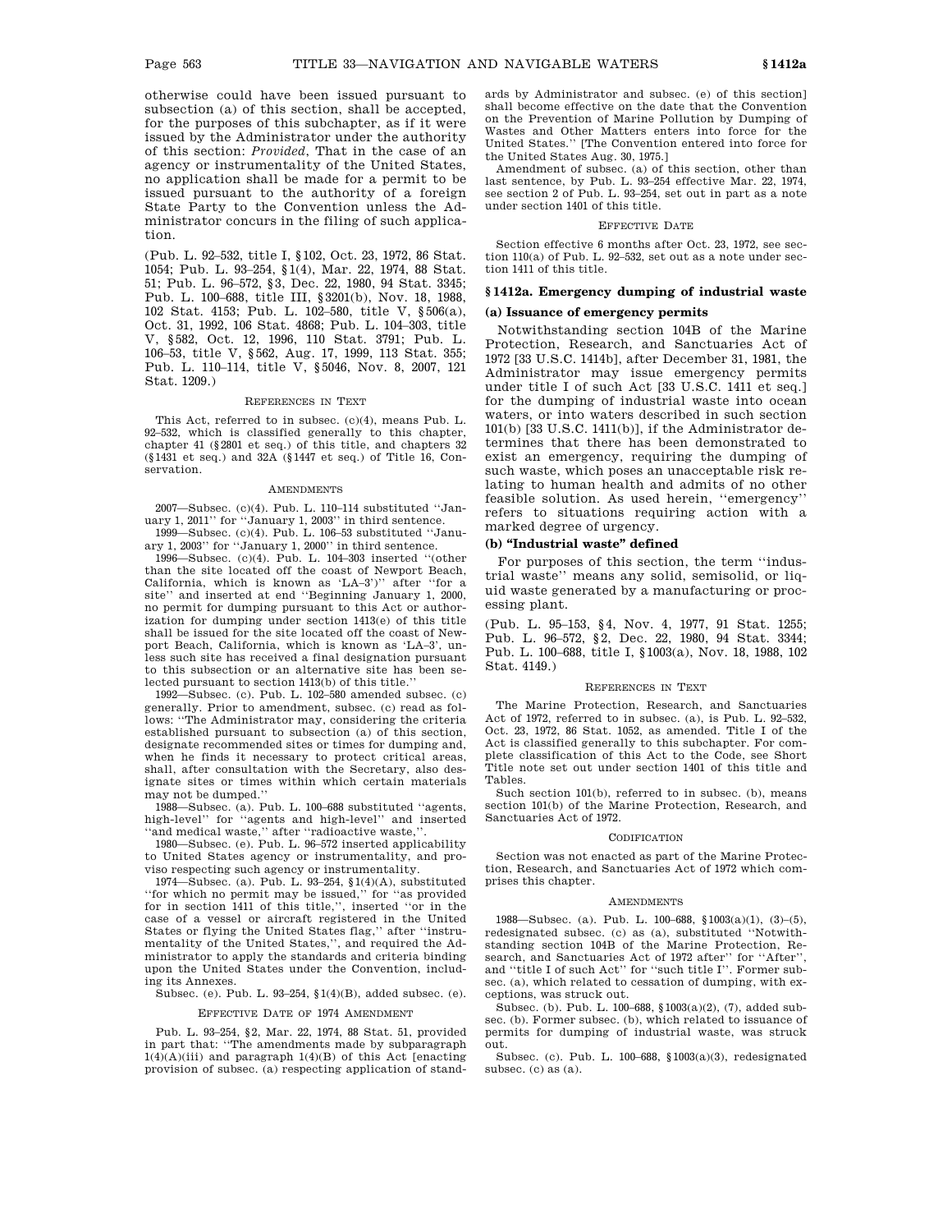otherwise could have been issued pursuant to subsection (a) of this section, shall be accepted, for the purposes of this subchapter, as if it were issued by the Administrator under the authority of this section: *Provided*, That in the case of an agency or instrumentality of the United States, no application shall be made for a permit to be issued pursuant to the authority of a foreign State Party to the Convention unless the Administrator concurs in the filing of such application.

(Pub. L. 92–532, title I, §102, Oct. 23, 1972, 86 Stat. 1054; Pub. L. 93–254, §1(4), Mar. 22, 1974, 88 Stat. 51; Pub. L. 96–572, §3, Dec. 22, 1980, 94 Stat. 3345; Pub. L. 100–688, title III, §3201(b), Nov. 18, 1988, 102 Stat. 4153; Pub. L. 102–580, title V, §506(a), Oct. 31, 1992, 106 Stat. 4868; Pub. L. 104–303, title V, §582, Oct. 12, 1996, 110 Stat. 3791; Pub. L. 106–53, title V, §562, Aug. 17, 1999, 113 Stat. 355; Pub. L. 110–114, title V, §5046, Nov. 8, 2007, 121 Stat. 1209.)

#### REFERENCES IN TEXT

This Act, referred to in subsec. (c)(4), means Pub. L. 92–532, which is classified generally to this chapter, chapter 41 (§2801 et seq.) of this title, and chapters 32 (§1431 et seq.) and 32A (§1447 et seq.) of Title 16, Conservation.

#### AMENDMENTS

2007—Subsec. (c)(4). Pub. L. 110–114 substituted ''January 1, 2011'' for ''January 1, 2003'' in third sentence.

1999—Subsec. (c)(4). Pub. L. 106–53 substituted ''January 1, 2003'' for ''January 1, 2000'' in third sentence.

1996—Subsec. (c)(4). Pub. L. 104–303 inserted ''(other than the site located off the coast of Newport Beach, California, which is known as 'LA–3')'' after ''for a site'' and inserted at end ''Beginning January 1, 2000, no permit for dumping pursuant to this Act or authorization for dumping under section 1413(e) of this title shall be issued for the site located off the coast of Newport Beach, California, which is known as 'LA–3', unless such site has received a final designation pursuant to this subsection or an alternative site has been selected pursuant to section 1413(b) of this title.''

1992—Subsec. (c). Pub. L. 102–580 amended subsec. (c) generally. Prior to amendment, subsec. (c) read as follows: ''The Administrator may, considering the criteria established pursuant to subsection (a) of this section, designate recommended sites or times for dumping and, when he finds it necessary to protect critical areas, shall, after consultation with the Secretary, also designate sites or times within which certain materials may not be dumped.''

1988—Subsec. (a). Pub. L. 100–688 substituted ''agents, high-level'' for ''agents and high-level'' and inserted 'and medical waste," after "radioactive waste,

1980—Subsec. (e). Pub. L. 96–572 inserted applicability to United States agency or instrumentality, and proviso respecting such agency or instrumentality.

1974—Subsec. (a). Pub. L. 93–254, §1(4)(A), substituted ''for which no permit may be issued,'' for ''as provided for in section 1411 of this title,'', inserted ''or in the case of a vessel or aircraft registered in the United States or flying the United States flag,'' after ''instrumentality of the United States,'', and required the Administrator to apply the standards and criteria binding upon the United States under the Convention, including its Annexes.

Subsec. (e). Pub. L. 93–254, §1(4)(B), added subsec. (e).

#### EFFECTIVE DATE OF 1974 AMENDMENT

Pub. L. 93–254, §2, Mar. 22, 1974, 88 Stat. 51, provided in part that: ''The amendments made by subparagraph  $1(4)(A)(iii)$  and paragraph  $1(4)(B)$  of this Act [enacting provision of subsec. (a) respecting application of standards by Administrator and subsec. (e) of this section] shall become effective on the date that the Convention on the Prevention of Marine Pollution by Dumping of Wastes and Other Matters enters into force for the United States.'' [The Convention entered into force for the United States Aug. 30, 1975.]

Amendment of subsec. (a) of this section, other than last sentence, by Pub. L. 93–254 effective Mar. 22, 1974, see section 2 of Pub. L. 93–254, set out in part as a note under section 1401 of this title.

#### EFFECTIVE DATE

Section effective 6 months after Oct. 23, 1972, see section 110(a) of Pub. L. 92–532, set out as a note under section 1411 of this title.

# **§ 1412a. Emergency dumping of industrial waste (a) Issuance of emergency permits**

Notwithstanding section 104B of the Marine Protection, Research, and Sanctuaries Act of 1972 [33 U.S.C. 1414b], after December 31, 1981, the Administrator may issue emergency permits under title I of such Act [33 U.S.C. 1411 et seq.] for the dumping of industrial waste into ocean waters, or into waters described in such section 101(b) [33 U.S.C. 1411(b)], if the Administrator determines that there has been demonstrated to exist an emergency, requiring the dumping of such waste, which poses an unacceptable risk relating to human health and admits of no other feasible solution. As used herein, ''emergency'' refers to situations requiring action with a marked degree of urgency.

#### **(b) ''Industrial waste'' defined**

For purposes of this section, the term ''industrial waste'' means any solid, semisolid, or liquid waste generated by a manufacturing or processing plant.

(Pub. L. 95–153, §4, Nov. 4, 1977, 91 Stat. 1255; Pub. L. 96–572, §2, Dec. 22, 1980, 94 Stat. 3344; Pub. L. 100–688, title I, §1003(a), Nov. 18, 1988, 102 Stat. 4149.)

#### REFERENCES IN TEXT

The Marine Protection, Research, and Sanctuaries Act of 1972, referred to in subsec. (a), is Pub. L. 92–532, Oct. 23, 1972, 86 Stat. 1052, as amended. Title I of the Act is classified generally to this subchapter. For complete classification of this Act to the Code, see Short Title note set out under section 1401 of this title and Tables.

Such section 101(b), referred to in subsec. (b), means section 101(b) of the Marine Protection, Research, and Sanctuaries Act of 1972.

#### **CODIFICATION**

Section was not enacted as part of the Marine Protection, Research, and Sanctuaries Act of 1972 which comprises this chapter.

#### **AMENDMENTS**

1988—Subsec. (a). Pub. L. 100–688, §1003(a)(1), (3)–(5), redesignated subsec. (c) as (a), substituted ''Notwithstanding section 104B of the Marine Protection, Research, and Sanctuaries Act of 1972 after" for "After", and "title I of such Act" for "such title I". Former subsec. (a), which related to cessation of dumping, with exceptions, was struck out.

Subsec. (b). Pub. L. 100–688, §1003(a)(2), (7), added subsec. (b). Former subsec. (b), which related to issuance of permits for dumping of industrial waste, was struck out.

Subsec. (c). Pub. L. 100–688, §1003(a)(3), redesignated subsec. (c) as (a).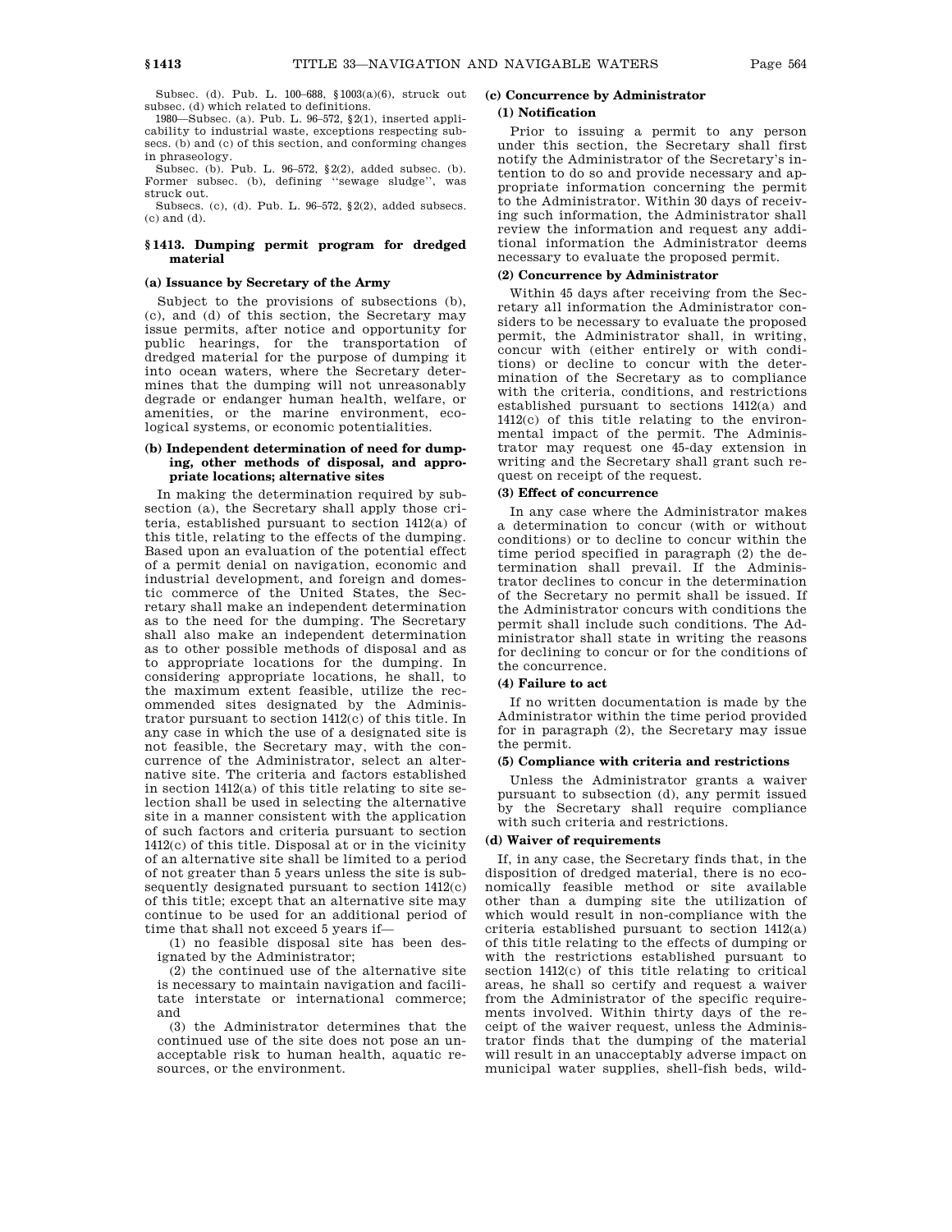Subsec. (d). Pub. L. 100–688, §1003(a)(6), struck out subsec. (d) which related to definitions.

1980—Subsec. (a). Pub. L. 96–572, §2(1), inserted applicability to industrial waste, exceptions respecting subsecs. (b) and (c) of this section, and conforming changes in phraseology.

Subsec. (b). Pub. L. 96–572, §2(2), added subsec. (b). Former subsec. (b), defining ''sewage sludge'', was struck out.

Subsecs. (c), (d). Pub. L. 96–572, §2(2), added subsecs. (c) and (d).

# **§ 1413. Dumping permit program for dredged material**

# **(a) Issuance by Secretary of the Army**

Subject to the provisions of subsections (b), (c), and (d) of this section, the Secretary may issue permits, after notice and opportunity for public hearings, for the transportation of dredged material for the purpose of dumping it into ocean waters, where the Secretary determines that the dumping will not unreasonably degrade or endanger human health, welfare, or amenities, or the marine environment, ecological systems, or economic potentialities.

# **(b) Independent determination of need for dumping, other methods of disposal, and appropriate locations; alternative sites**

In making the determination required by subsection (a), the Secretary shall apply those criteria, established pursuant to section 1412(a) of this title, relating to the effects of the dumping. Based upon an evaluation of the potential effect of a permit denial on navigation, economic and industrial development, and foreign and domestic commerce of the United States, the Secretary shall make an independent determination as to the need for the dumping. The Secretary shall also make an independent determination as to other possible methods of disposal and as to appropriate locations for the dumping. In considering appropriate locations, he shall, to the maximum extent feasible, utilize the recommended sites designated by the Administrator pursuant to section 1412(c) of this title. In any case in which the use of a designated site is not feasible, the Secretary may, with the concurrence of the Administrator, select an alternative site. The criteria and factors established in section 1412(a) of this title relating to site selection shall be used in selecting the alternative site in a manner consistent with the application of such factors and criteria pursuant to section 1412(c) of this title. Disposal at or in the vicinity of an alternative site shall be limited to a period of not greater than 5 years unless the site is subsequently designated pursuant to section 1412(c) of this title; except that an alternative site may continue to be used for an additional period of time that shall not exceed 5 years if—

(1) no feasible disposal site has been designated by the Administrator;

(2) the continued use of the alternative site is necessary to maintain navigation and facilitate interstate or international commerce; and

(3) the Administrator determines that the continued use of the site does not pose an unacceptable risk to human health, aquatic resources, or the environment.

# **(c) Concurrence by Administrator (1) Notification**

Prior to issuing a permit to any person under this section, the Secretary shall first notify the Administrator of the Secretary's intention to do so and provide necessary and appropriate information concerning the permit to the Administrator. Within 30 days of receiving such information, the Administrator shall review the information and request any additional information the Administrator deems necessary to evaluate the proposed permit.

# **(2) Concurrence by Administrator**

Within 45 days after receiving from the Secretary all information the Administrator considers to be necessary to evaluate the proposed permit, the Administrator shall, in writing, concur with (either entirely or with conditions) or decline to concur with the determination of the Secretary as to compliance with the criteria, conditions, and restrictions established pursuant to sections 1412(a) and 1412(c) of this title relating to the environmental impact of the permit. The Administrator may request one 45-day extension in writing and the Secretary shall grant such request on receipt of the request.

# **(3) Effect of concurrence**

In any case where the Administrator makes a determination to concur (with or without conditions) or to decline to concur within the time period specified in paragraph (2) the determination shall prevail. If the Administrator declines to concur in the determination of the Secretary no permit shall be issued. If the Administrator concurs with conditions the permit shall include such conditions. The Administrator shall state in writing the reasons for declining to concur or for the conditions of the concurrence.

# **(4) Failure to act**

If no written documentation is made by the Administrator within the time period provided for in paragraph (2), the Secretary may issue the permit.

#### **(5) Compliance with criteria and restrictions**

Unless the Administrator grants a waiver pursuant to subsection (d), any permit issued by the Secretary shall require compliance with such criteria and restrictions.

# **(d) Waiver of requirements**

If, in any case, the Secretary finds that, in the disposition of dredged material, there is no economically feasible method or site available other than a dumping site the utilization of which would result in non-compliance with the criteria established pursuant to section 1412(a) of this title relating to the effects of dumping or with the restrictions established pursuant to section 1412(c) of this title relating to critical areas, he shall so certify and request a waiver from the Administrator of the specific requirements involved. Within thirty days of the receipt of the waiver request, unless the Administrator finds that the dumping of the material will result in an unacceptably adverse impact on municipal water supplies, shell-fish beds, wild-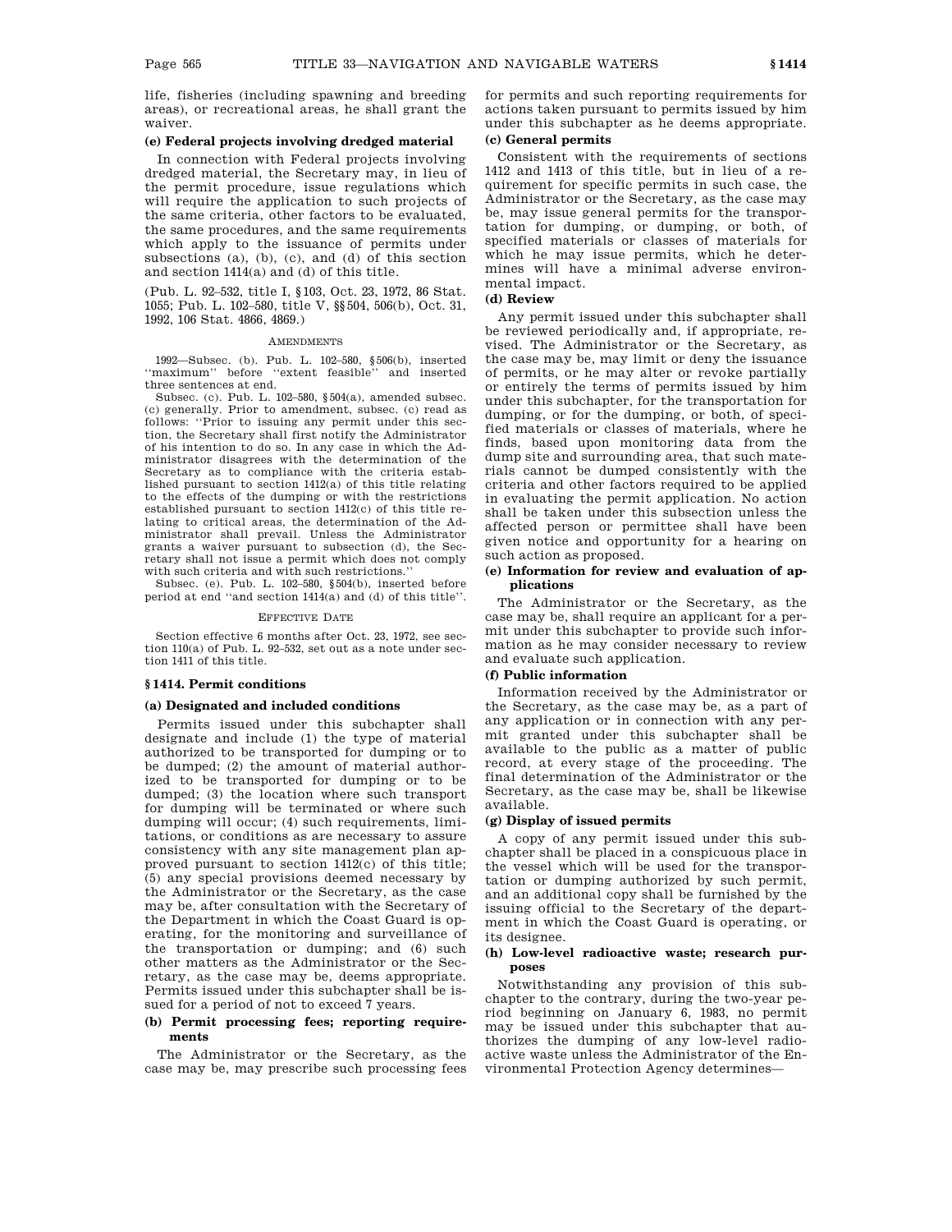life, fisheries (including spawning and breeding areas), or recreational areas, he shall grant the waiver.

## **(e) Federal projects involving dredged material**

In connection with Federal projects involving dredged material, the Secretary may, in lieu of the permit procedure, issue regulations which will require the application to such projects of the same criteria, other factors to be evaluated, the same procedures, and the same requirements which apply to the issuance of permits under subsections (a), (b), (c), and (d) of this section and section 1414(a) and (d) of this title.

(Pub. L. 92–532, title I, §103, Oct. 23, 1972, 86 Stat. 1055; Pub. L. 102–580, title V, §§504, 506(b), Oct. 31, 1992, 106 Stat. 4866, 4869.)

#### **AMENDMENTS**

1992—Subsec. (b). Pub. L. 102–580, §506(b), inserted ''maximum'' before ''extent feasible'' and inserted three sentences at end.

Subsec. (c). Pub. L. 102–580, §504(a), amended subsec. (c) generally. Prior to amendment, subsec. (c) read as follows: "Prior to issuing any permit under this section, the Secretary shall first notify the Administrator of his intention to do so. In any case in which the Administrator disagrees with the determination of the Secretary as to compliance with the criteria established pursuant to section 1412(a) of this title relating to the effects of the dumping or with the restrictions established pursuant to section 1412(c) of this title relating to critical areas, the determination of the Administrator shall prevail. Unless the Administrator grants a waiver pursuant to subsection (d), the Secretary shall not issue a permit which does not comply with such criteria and with such restrictions.''

Subsec. (e). Pub. L. 102–580, §504(b), inserted before period at end ''and section 1414(a) and (d) of this title''.

#### EFFECTIVE DATE

Section effective 6 months after Oct. 23, 1972, see section 110(a) of Pub. L. 92–532, set out as a note under section 1411 of this title.

# **§ 1414. Permit conditions**

#### **(a) Designated and included conditions**

Permits issued under this subchapter shall designate and include (1) the type of material authorized to be transported for dumping or to be dumped; (2) the amount of material authorized to be transported for dumping or to be dumped; (3) the location where such transport for dumping will be terminated or where such dumping will occur; (4) such requirements, limitations, or conditions as are necessary to assure consistency with any site management plan approved pursuant to section 1412(c) of this title; (5) any special provisions deemed necessary by the Administrator or the Secretary, as the case may be, after consultation with the Secretary of the Department in which the Coast Guard is operating, for the monitoring and surveillance of the transportation or dumping; and (6) such other matters as the Administrator or the Secretary, as the case may be, deems appropriate. Permits issued under this subchapter shall be issued for a period of not to exceed 7 years.

#### **(b) Permit processing fees; reporting requirements**

The Administrator or the Secretary, as the case may be, may prescribe such processing fees for permits and such reporting requirements for actions taken pursuant to permits issued by him under this subchapter as he deems appropriate.

# **(c) General permits**

Consistent with the requirements of sections 1412 and 1413 of this title, but in lieu of a requirement for specific permits in such case, the Administrator or the Secretary, as the case may be, may issue general permits for the transportation for dumping, or dumping, or both, of specified materials or classes of materials for which he may issue permits, which he determines will have a minimal adverse environmental impact.

#### **(d) Review**

Any permit issued under this subchapter shall be reviewed periodically and, if appropriate, revised. The Administrator or the Secretary, as the case may be, may limit or deny the issuance of permits, or he may alter or revoke partially or entirely the terms of permits issued by him under this subchapter, for the transportation for dumping, or for the dumping, or both, of specified materials or classes of materials, where he finds, based upon monitoring data from the dump site and surrounding area, that such materials cannot be dumped consistently with the criteria and other factors required to be applied in evaluating the permit application. No action shall be taken under this subsection unless the affected person or permittee shall have been given notice and opportunity for a hearing on such action as proposed.

# **(e) Information for review and evaluation of applications**

The Administrator or the Secretary, as the case may be, shall require an applicant for a permit under this subchapter to provide such information as he may consider necessary to review and evaluate such application.

# **(f) Public information**

Information received by the Administrator or the Secretary, as the case may be, as a part of any application or in connection with any permit granted under this subchapter shall be available to the public as a matter of public record, at every stage of the proceeding. The final determination of the Administrator or the Secretary, as the case may be, shall be likewise available.

# **(g) Display of issued permits**

A copy of any permit issued under this subchapter shall be placed in a conspicuous place in the vessel which will be used for the transportation or dumping authorized by such permit, and an additional copy shall be furnished by the issuing official to the Secretary of the department in which the Coast Guard is operating, or its designee.

# **(h) Low-level radioactive waste; research purposes**

Notwithstanding any provision of this subchapter to the contrary, during the two-year period beginning on January 6, 1983, no permit may be issued under this subchapter that authorizes the dumping of any low-level radioactive waste unless the Administrator of the Environmental Protection Agency determines—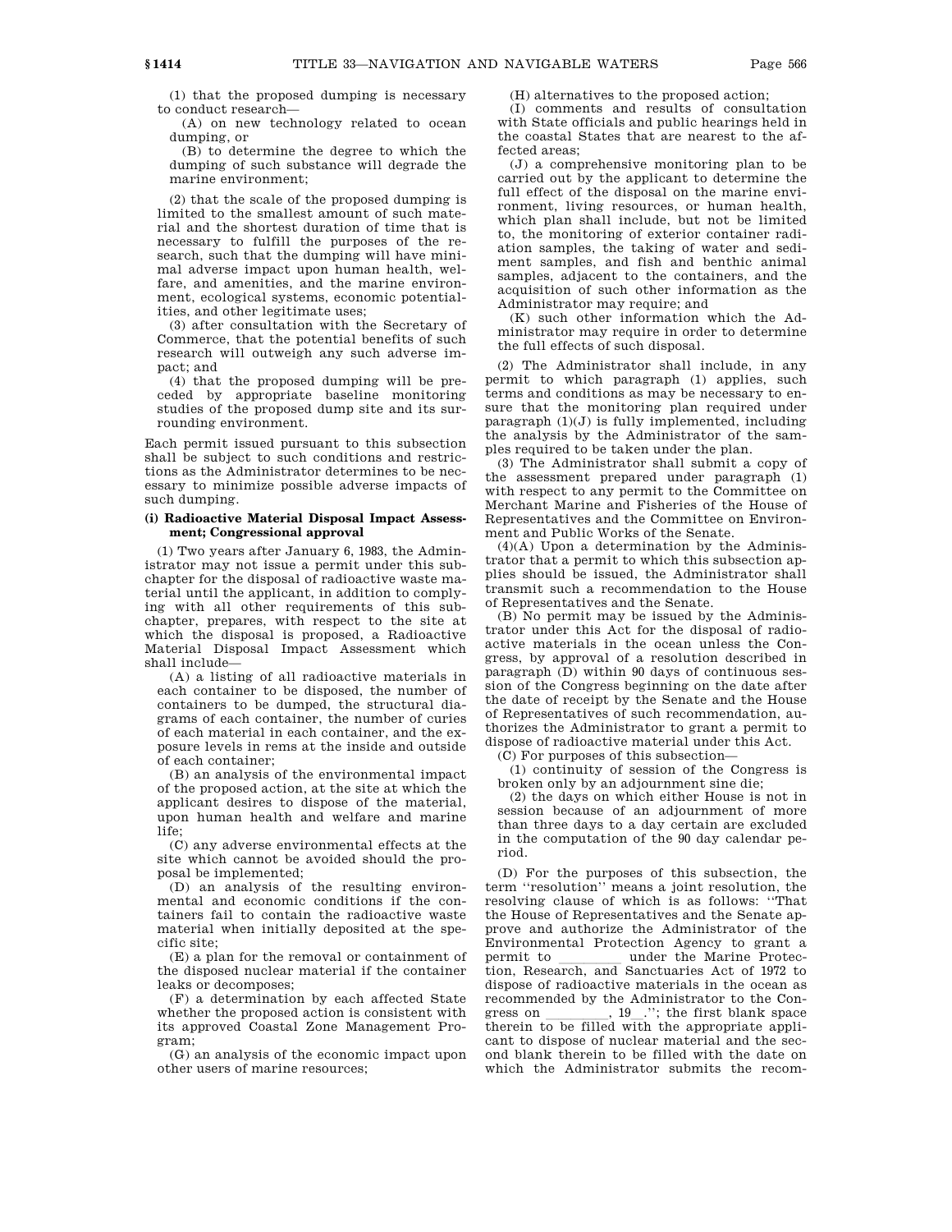(1) that the proposed dumping is necessary to conduct research—

(A) on new technology related to ocean dumping, or

(B) to determine the degree to which the dumping of such substance will degrade the marine environment;

(2) that the scale of the proposed dumping is limited to the smallest amount of such material and the shortest duration of time that is necessary to fulfill the purposes of the research, such that the dumping will have minimal adverse impact upon human health, welfare, and amenities, and the marine environment, ecological systems, economic potentialities, and other legitimate uses;

(3) after consultation with the Secretary of Commerce, that the potential benefits of such research will outweigh any such adverse impact; and

(4) that the proposed dumping will be preceded by appropriate baseline monitoring studies of the proposed dump site and its surrounding environment.

Each permit issued pursuant to this subsection shall be subject to such conditions and restrictions as the Administrator determines to be necessary to minimize possible adverse impacts of such dumping.

# **(i) Radioactive Material Disposal Impact Assessment; Congressional approval**

(1) Two years after January 6, 1983, the Administrator may not issue a permit under this subchapter for the disposal of radioactive waste material until the applicant, in addition to complying with all other requirements of this subchapter, prepares, with respect to the site at which the disposal is proposed, a Radioactive Material Disposal Impact Assessment which shall include—

(A) a listing of all radioactive materials in each container to be disposed, the number of containers to be dumped, the structural diagrams of each container, the number of curies of each material in each container, and the exposure levels in rems at the inside and outside of each container;

(B) an analysis of the environmental impact of the proposed action, at the site at which the applicant desires to dispose of the material, upon human health and welfare and marine life;

(C) any adverse environmental effects at the site which cannot be avoided should the proposal be implemented;

(D) an analysis of the resulting environmental and economic conditions if the containers fail to contain the radioactive waste material when initially deposited at the specific site;

(E) a plan for the removal or containment of the disposed nuclear material if the container leaks or decomposes;

(F) a determination by each affected State whether the proposed action is consistent with its approved Coastal Zone Management Program;

(G) an analysis of the economic impact upon other users of marine resources;

(H) alternatives to the proposed action;

(I) comments and results of consultation with State officials and public hearings held in the coastal States that are nearest to the affected areas;

(J) a comprehensive monitoring plan to be carried out by the applicant to determine the full effect of the disposal on the marine environment, living resources, or human health, which plan shall include, but not be limited to, the monitoring of exterior container radiation samples, the taking of water and sediment samples, and fish and benthic animal samples, adjacent to the containers, and the acquisition of such other information as the Administrator may require; and

(K) such other information which the Administrator may require in order to determine the full effects of such disposal.

(2) The Administrator shall include, in any permit to which paragraph (1) applies, such terms and conditions as may be necessary to ensure that the monitoring plan required under paragraph  $(1)(J)$  is fully implemented, including the analysis by the Administrator of the samples required to be taken under the plan.

(3) The Administrator shall submit a copy of the assessment prepared under paragraph (1) with respect to any permit to the Committee on Merchant Marine and Fisheries of the House of Representatives and the Committee on Environment and Public Works of the Senate.

 $(4)(A)$  Upon a determination by the Administrator that a permit to which this subsection applies should be issued, the Administrator shall transmit such a recommendation to the House of Representatives and the Senate.

(B) No permit may be issued by the Administrator under this Act for the disposal of radioactive materials in the ocean unless the Congress, by approval of a resolution described in paragraph (D) within 90 days of continuous session of the Congress beginning on the date after the date of receipt by the Senate and the House of Representatives of such recommendation, authorizes the Administrator to grant a permit to dispose of radioactive material under this Act.

(C) For purposes of this subsection—

(1) continuity of session of the Congress is broken only by an adjournment sine die;

(2) the days on which either House is not in session because of an adjournment of more than three days to a day certain are excluded in the computation of the 90 day calendar period.

(D) For the purposes of this subsection, the term ''resolution'' means a joint resolution, the resolving clause of which is as follows: ''That the House of Representatives and the Senate approve and authorize the Administrator of the Environmental Protection Agency to grant a permit to \_\_\_\_\_\_\_\_ under the Marine Protec-<br>tion, Research, and Sanctuaries Act of 1972 to dispose of radioactive materials in the ocean as recommended by the Administrator to the Congress on \_\_\_\_\_\_\_\_, 19\_.''; the first blank space<br>therein to be filled with the appropriate applicant to dispose of nuclear material and the second blank therein to be filled with the date on which the Administrator submits the recom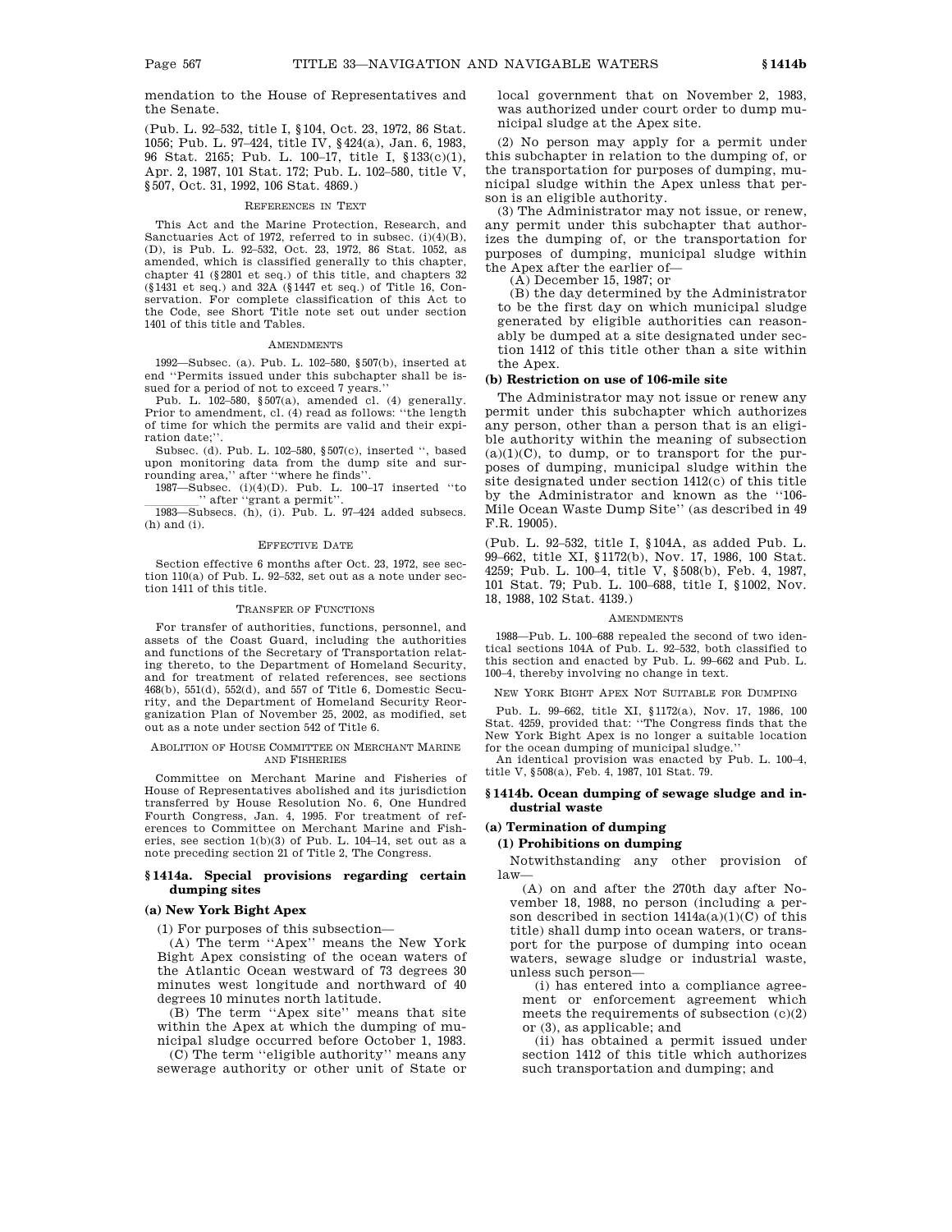mendation to the House of Representatives and the Senate.

(Pub. L. 92–532, title I, §104, Oct. 23, 1972, 86 Stat. 1056; Pub. L. 97–424, title IV, §424(a), Jan. 6, 1983, 96 Stat. 2165; Pub. L. 100–17, title I, §133(c)(1), Apr. 2, 1987, 101 Stat. 172; Pub. L. 102–580, title V, §507, Oct. 31, 1992, 106 Stat. 4869.)

#### REFERENCES IN TEXT

This Act and the Marine Protection, Research, and Sanctuaries Act of 1972, referred to in subsec. (i)(4)(B), (D), is Pub. L. 92–532, Oct. 23, 1972, 86 Stat. 1052, as amended, which is classified generally to this chapter, chapter 41 (§2801 et seq.) of this title, and chapters 32 (§1431 et seq.) and 32A (§1447 et seq.) of Title 16, Conservation. For complete classification of this Act to the Code, see Short Title note set out under section 1401 of this title and Tables.

#### **AMENDMENTS**

1992—Subsec. (a). Pub. L. 102–580, §507(b), inserted at end ''Permits issued under this subchapter shall be issued for a period of not to exceed 7 years.''

Pub. L. 102–580, §507(a), amended cl. (4) generally. Prior to amendment, cl. (4) read as follows: ''the length of time for which the permits are valid and their expiration date;"

Subsec. (d). Pub. L. 102–580, §507(c), inserted '', based upon monitoring data from the dump site and surrounding area," after "where he finds"

1987—Subsec. (i)(4)(D). Pub. L. 100–17 inserted "to "after "grant a permit".

wafter ''grant a permit''.<br>
1983—Subsecs. (h), (i). Pub. L. 97–424 added subsecs. (h) and (i).

#### EFFECTIVE DATE

Section effective 6 months after Oct. 23, 1972, see section  $110(a)$  of Pub. L.  $92-532$ , set out as a note under section 1411 of this title.

#### TRANSFER OF FUNCTIONS

For transfer of authorities, functions, personnel, and assets of the Coast Guard, including the authorities and functions of the Secretary of Transportation relating thereto, to the Department of Homeland Security, and for treatment of related references, see sections 468(b), 551(d), 552(d), and 557 of Title 6, Domestic Security, and the Department of Homeland Security Reorganization Plan of November 25, 2002, as modified, set out as a note under section 542 of Title 6.

#### ABOLITION OF HOUSE COMMITTEE ON MERCHANT MARINE AND FISHERIES

Committee on Merchant Marine and Fisheries of House of Representatives abolished and its jurisdiction transferred by House Resolution No. 6, One Hundred Fourth Congress, Jan. 4, 1995. For treatment of references to Committee on Merchant Marine and Fisheries, see section 1(b)(3) of Pub. L. 104–14, set out as a note preceding section 21 of Title 2, The Congress.

#### **§ 1414a. Special provisions regarding certain dumping sites**

#### **(a) New York Bight Apex**

(1) For purposes of this subsection—

(A) The term ''Apex'' means the New York Bight Apex consisting of the ocean waters of the Atlantic Ocean westward of 73 degrees 30 minutes west longitude and northward of 40 degrees 10 minutes north latitude.

(B) The term ''Apex site'' means that site within the Apex at which the dumping of municipal sludge occurred before October 1, 1983.

(C) The term ''eligible authority'' means any sewerage authority or other unit of State or local government that on November 2, 1983, was authorized under court order to dump municipal sludge at the Apex site.

(2) No person may apply for a permit under this subchapter in relation to the dumping of, or the transportation for purposes of dumping, municipal sludge within the Apex unless that person is an eligible authority.

(3) The Administrator may not issue, or renew, any permit under this subchapter that authorizes the dumping of, or the transportation for purposes of dumping, municipal sludge within the Apex after the earlier of—

(A) December 15, 1987; or

(B) the day determined by the Administrator to be the first day on which municipal sludge generated by eligible authorities can reasonably be dumped at a site designated under section 1412 of this title other than a site within the Apex.

#### **(b) Restriction on use of 106-mile site**

The Administrator may not issue or renew any permit under this subchapter which authorizes any person, other than a person that is an eligible authority within the meaning of subsection  $(a)(1)(C)$ , to dump, or to transport for the purposes of dumping, municipal sludge within the site designated under section 1412(c) of this title by the Administrator and known as the ''106- Mile Ocean Waste Dump Site'' (as described in 49 F.R. 19005).

(Pub. L. 92–532, title I, §104A, as added Pub. L. 99–662, title XI, §1172(b), Nov. 17, 1986, 100 Stat. 4259; Pub. L. 100–4, title V, §508(b), Feb. 4, 1987, 101 Stat. 79; Pub. L. 100–688, title I, §1002, Nov. 18, 1988, 102 Stat. 4139.)

#### **AMENDMENTS**

1988—Pub. L. 100–688 repealed the second of two identical sections 104A of Pub. L. 92–532, both classified to this section and enacted by Pub. L. 99–662 and Pub. L. 100–4, thereby involving no change in text.

NEW YORK BIGHT APEX NOT SUITABLE FOR DUMPING

Pub. L. 99–662, title XI, §1172(a), Nov. 17, 1986, 100 Stat. 4259, provided that: ''The Congress finds that the New York Bight Apex is no longer a suitable location for the ocean dumping of municipal sludge.

An identical provision was enacted by Pub. L. 100–4, title V, §508(a), Feb. 4, 1987, 101 Stat. 79.

#### **§ 1414b. Ocean dumping of sewage sludge and industrial waste**

# **(a) Termination of dumping**

#### **(1) Prohibitions on dumping**

Notwithstanding any other provision of law—

(A) on and after the 270th day after November 18, 1988, no person (including a person described in section  $1414a(a)(1)(C)$  of this title) shall dump into ocean waters, or transport for the purpose of dumping into ocean waters, sewage sludge or industrial waste, unless such person—

(i) has entered into a compliance agreement or enforcement agreement which meets the requirements of subsection (c)(2) or (3), as applicable; and

(ii) has obtained a permit issued under section 1412 of this title which authorizes such transportation and dumping; and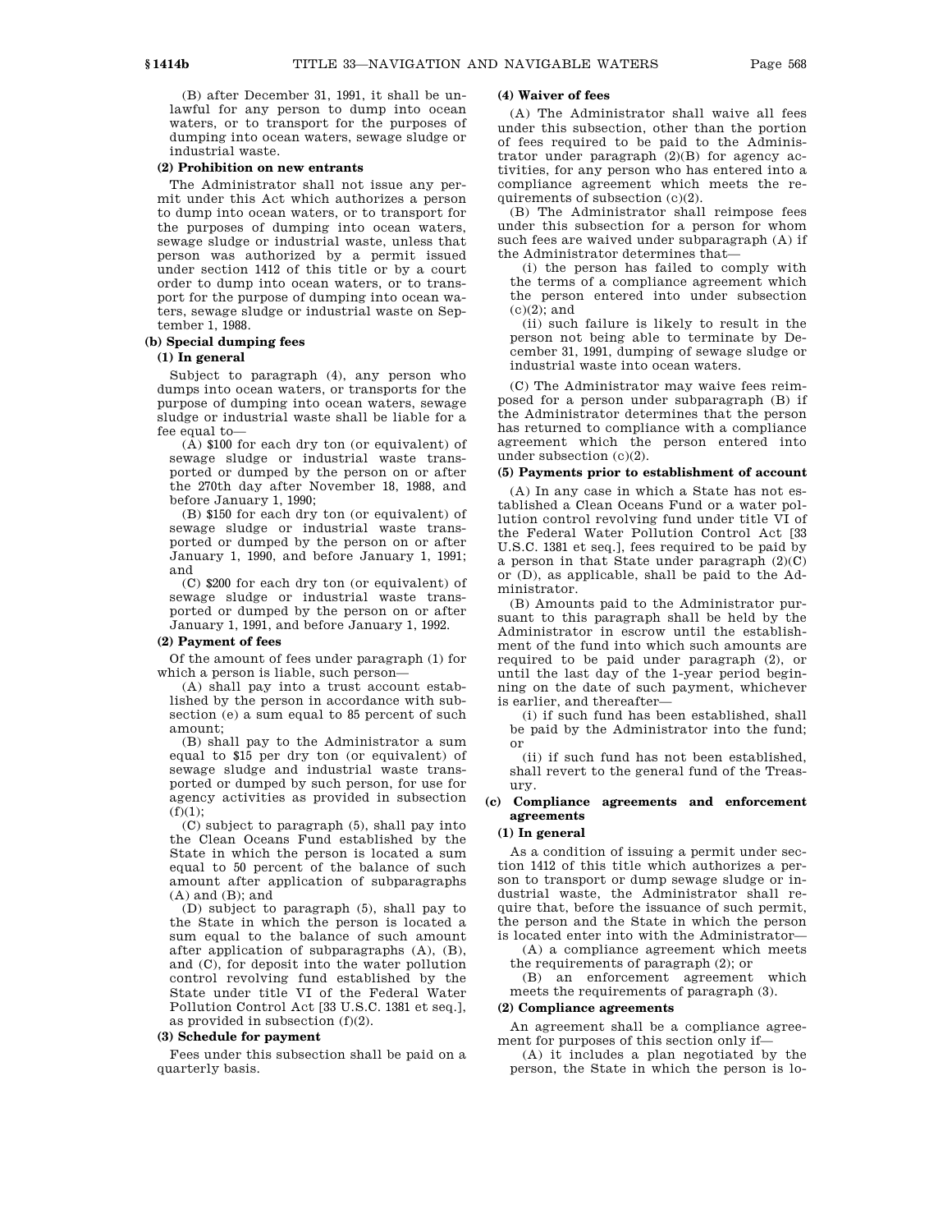(B) after December 31, 1991, it shall be unlawful for any person to dump into ocean waters, or to transport for the purposes of dumping into ocean waters, sewage sludge or industrial waste.

#### **(2) Prohibition on new entrants**

The Administrator shall not issue any permit under this Act which authorizes a person to dump into ocean waters, or to transport for the purposes of dumping into ocean waters, sewage sludge or industrial waste, unless that person was authorized by a permit issued under section 1412 of this title or by a court order to dump into ocean waters, or to transport for the purpose of dumping into ocean waters, sewage sludge or industrial waste on September 1, 1988.

#### **(b) Special dumping fees**

# **(1) In general**

Subject to paragraph (4), any person who dumps into ocean waters, or transports for the purpose of dumping into ocean waters, sewage sludge or industrial waste shall be liable for a fee equal to—

(A) \$100 for each dry ton (or equivalent) of sewage sludge or industrial waste transported or dumped by the person on or after the 270th day after November 18, 1988, and before January 1, 1990;

(B) \$150 for each dry ton (or equivalent) of sewage sludge or industrial waste transported or dumped by the person on or after January 1, 1990, and before January 1, 1991; and

(C) \$200 for each dry ton (or equivalent) of sewage sludge or industrial waste transported or dumped by the person on or after January 1, 1991, and before January 1, 1992.

#### **(2) Payment of fees**

Of the amount of fees under paragraph (1) for which a person is liable, such person—

(A) shall pay into a trust account established by the person in accordance with subsection (e) a sum equal to 85 percent of such amount;

(B) shall pay to the Administrator a sum equal to \$15 per dry ton (or equivalent) of sewage sludge and industrial waste transported or dumped by such person, for use for agency activities as provided in subsection  $(f)(1)$ ;

(C) subject to paragraph (5), shall pay into the Clean Oceans Fund established by the State in which the person is located a sum equal to 50 percent of the balance of such amount after application of subparagraphs (A) and (B); and

(D) subject to paragraph (5), shall pay to the State in which the person is located a sum equal to the balance of such amount after application of subparagraphs (A), (B), and (C), for deposit into the water pollution control revolving fund established by the State under title VI of the Federal Water Pollution Control Act [33 U.S.C. 1381 et seq.], as provided in subsection (f)(2).

#### **(3) Schedule for payment**

Fees under this subsection shall be paid on a quarterly basis.

# **(4) Waiver of fees**

(A) The Administrator shall waive all fees under this subsection, other than the portion of fees required to be paid to the Administrator under paragraph (2)(B) for agency activities, for any person who has entered into a compliance agreement which meets the requirements of subsection (c)(2).

(B) The Administrator shall reimpose fees under this subsection for a person for whom such fees are waived under subparagraph (A) if the Administrator determines that—

(i) the person has failed to comply with the terms of a compliance agreement which the person entered into under subsection  $(c)(2)$ ; and

(ii) such failure is likely to result in the person not being able to terminate by December 31, 1991, dumping of sewage sludge or industrial waste into ocean waters.

(C) The Administrator may waive fees reimposed for a person under subparagraph (B) if the Administrator determines that the person has returned to compliance with a compliance agreement which the person entered into under subsection (c)(2).

# **(5) Payments prior to establishment of account**

(A) In any case in which a State has not established a Clean Oceans Fund or a water pollution control revolving fund under title VI of the Federal Water Pollution Control Act [33 U.S.C. 1381 et seq.], fees required to be paid by a person in that State under paragraph  $(2)(C)$ or (D), as applicable, shall be paid to the Administrator.

(B) Amounts paid to the Administrator pursuant to this paragraph shall be held by the Administrator in escrow until the establishment of the fund into which such amounts are required to be paid under paragraph (2), or until the last day of the 1-year period beginning on the date of such payment, whichever is earlier, and thereafter—

(i) if such fund has been established, shall be paid by the Administrator into the fund; or

(ii) if such fund has not been established, shall revert to the general fund of the Treasury.

# **(c) Compliance agreements and enforcement agreements**

#### **(1) In general**

As a condition of issuing a permit under section 1412 of this title which authorizes a person to transport or dump sewage sludge or industrial waste, the Administrator shall require that, before the issuance of such permit, the person and the State in which the person is located enter into with the Administrator—

(A) a compliance agreement which meets the requirements of paragraph (2); or

(B) an enforcement agreement which meets the requirements of paragraph (3).

#### **(2) Compliance agreements**

An agreement shall be a compliance agreement for purposes of this section only if—

(A) it includes a plan negotiated by the person, the State in which the person is lo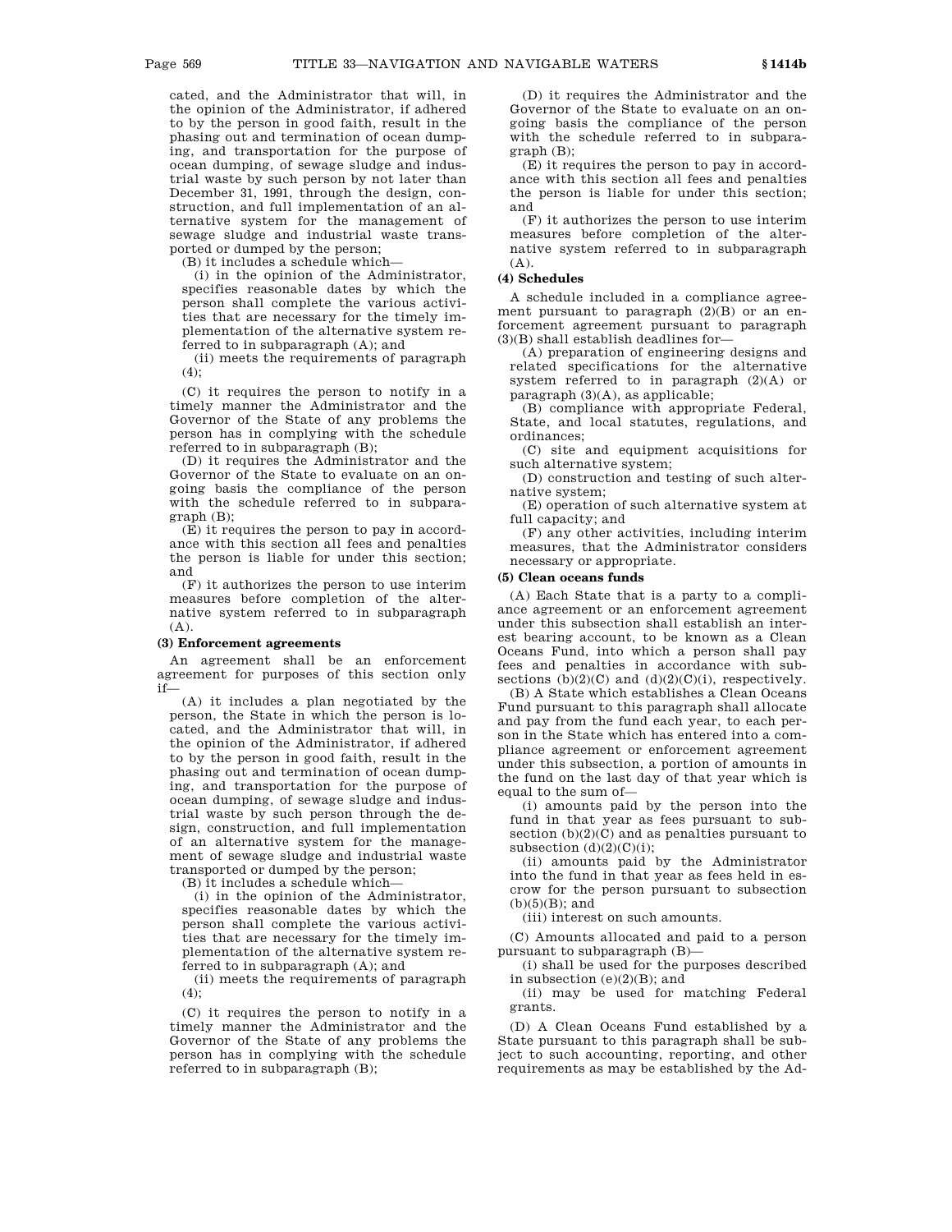cated, and the Administrator that will, in the opinion of the Administrator, if adhered to by the person in good faith, result in the phasing out and termination of ocean dumping, and transportation for the purpose of ocean dumping, of sewage sludge and industrial waste by such person by not later than December 31, 1991, through the design, construction, and full implementation of an alternative system for the management of sewage sludge and industrial waste transported or dumped by the person;

(B) it includes a schedule which—

(i) in the opinion of the Administrator, specifies reasonable dates by which the person shall complete the various activities that are necessary for the timely implementation of the alternative system referred to in subparagraph (A); and

(ii) meets the requirements of paragraph (4);

(C) it requires the person to notify in a timely manner the Administrator and the Governor of the State of any problems the person has in complying with the schedule referred to in subparagraph (B);

(D) it requires the Administrator and the Governor of the State to evaluate on an ongoing basis the compliance of the person with the schedule referred to in subparagraph (B);

(E) it requires the person to pay in accordance with this section all fees and penalties the person is liable for under this section; and

(F) it authorizes the person to use interim measures before completion of the alternative system referred to in subparagraph (A).

#### **(3) Enforcement agreements**

An agreement shall be an enforcement agreement for purposes of this section only if—

(A) it includes a plan negotiated by the person, the State in which the person is located, and the Administrator that will, in the opinion of the Administrator, if adhered to by the person in good faith, result in the phasing out and termination of ocean dumping, and transportation for the purpose of ocean dumping, of sewage sludge and industrial waste by such person through the design, construction, and full implementation of an alternative system for the management of sewage sludge and industrial waste transported or dumped by the person;

(B) it includes a schedule which—

(i) in the opinion of the Administrator, specifies reasonable dates by which the person shall complete the various activities that are necessary for the timely implementation of the alternative system referred to in subparagraph (A); and

(ii) meets the requirements of paragraph  $(4)$ :

(C) it requires the person to notify in a timely manner the Administrator and the Governor of the State of any problems the person has in complying with the schedule referred to in subparagraph (B);

(D) it requires the Administrator and the Governor of the State to evaluate on an ongoing basis the compliance of the person with the schedule referred to in subparagraph (B);

(E) it requires the person to pay in accordance with this section all fees and penalties the person is liable for under this section; and

(F) it authorizes the person to use interim measures before completion of the alternative system referred to in subparagraph (A).

# **(4) Schedules**

A schedule included in a compliance agreement pursuant to paragraph  $(2)(B)$  or an enforcement agreement pursuant to paragraph (3)(B) shall establish deadlines for—

(A) preparation of engineering designs and related specifications for the alternative system referred to in paragraph (2)(A) or paragraph  $(3)(A)$ , as applicable;

(B) compliance with appropriate Federal, State, and local statutes, regulations, and ordinances;

(C) site and equipment acquisitions for such alternative system;

(D) construction and testing of such alternative system;

(E) operation of such alternative system at full capacity; and

(F) any other activities, including interim measures, that the Administrator considers necessary or appropriate.

#### **(5) Clean oceans funds**

(A) Each State that is a party to a compliance agreement or an enforcement agreement under this subsection shall establish an interest bearing account, to be known as a Clean Oceans Fund, into which a person shall pay fees and penalties in accordance with subsections  $(b)(2)(C)$  and  $(d)(2)(C)(i)$ , respectively.

(B) A State which establishes a Clean Oceans Fund pursuant to this paragraph shall allocate and pay from the fund each year, to each person in the State which has entered into a compliance agreement or enforcement agreement under this subsection, a portion of amounts in the fund on the last day of that year which is equal to the sum of—

(i) amounts paid by the person into the fund in that year as fees pursuant to subsection  $(b)(2)(C)$  and as penalties pursuant to subsection  $(d)(2)(C)(i)$ ;

(ii) amounts paid by the Administrator into the fund in that year as fees held in escrow for the person pursuant to subsection  $(b)(5)(B);$  and

(iii) interest on such amounts.

(C) Amounts allocated and paid to a person pursuant to subparagraph (B)—

(i) shall be used for the purposes described in subsection  $(e)(2)(B)$ ; and

(ii) may be used for matching Federal grants.

(D) A Clean Oceans Fund established by a State pursuant to this paragraph shall be subject to such accounting, reporting, and other requirements as may be established by the Ad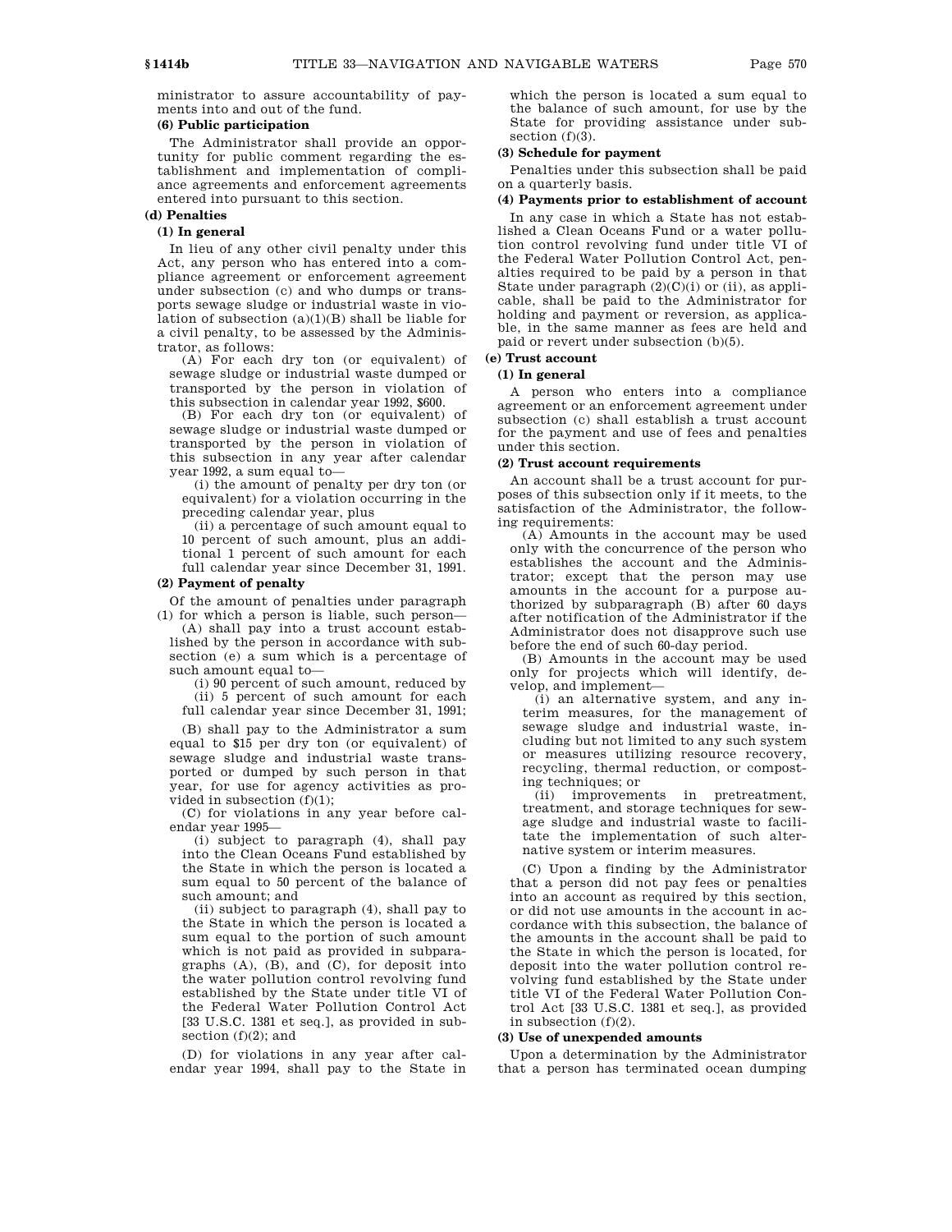ministrator to assure accountability of payments into and out of the fund.

# **(6) Public participation**

The Administrator shall provide an opportunity for public comment regarding the establishment and implementation of compliance agreements and enforcement agreements entered into pursuant to this section.

# **(d) Penalties**

# **(1) In general**

In lieu of any other civil penalty under this Act, any person who has entered into a compliance agreement or enforcement agreement under subsection (c) and who dumps or transports sewage sludge or industrial waste in violation of subsection  $(a)(1)(B)$  shall be liable for a civil penalty, to be assessed by the Administrator, as follows:

(A) For each dry ton (or equivalent) of sewage sludge or industrial waste dumped or transported by the person in violation of this subsection in calendar year 1992, \$600.

(B) For each dry ton (or equivalent) of sewage sludge or industrial waste dumped or transported by the person in violation of this subsection in any year after calendar year 1992, a sum equal to—

(i) the amount of penalty per dry ton (or equivalent) for a violation occurring in the preceding calendar year, plus

(ii) a percentage of such amount equal to 10 percent of such amount, plus an additional 1 percent of such amount for each full calendar year since December 31, 1991.

# **(2) Payment of penalty**

Of the amount of penalties under paragraph

(1) for which a person is liable, such person— (A) shall pay into a trust account established by the person in accordance with subsection (e) a sum which is a percentage of such amount equal to—

(i) 90 percent of such amount, reduced by (ii) 5 percent of such amount for each full calendar year since December 31, 1991;

(B) shall pay to the Administrator a sum equal to \$15 per dry ton (or equivalent) of sewage sludge and industrial waste transported or dumped by such person in that year, for use for agency activities as provided in subsection (f)(1);

(C) for violations in any year before calendar year 1995—

(i) subject to paragraph (4), shall pay into the Clean Oceans Fund established by the State in which the person is located a sum equal to 50 percent of the balance of such amount; and

(ii) subject to paragraph (4), shall pay to the State in which the person is located a sum equal to the portion of such amount which is not paid as provided in subparagraphs  $(A)$ ,  $(B)$ , and  $(C)$ , for deposit into the water pollution control revolving fund established by the State under title VI of the Federal Water Pollution Control Act [33 U.S.C. 1381 et seq.], as provided in subsection (f)(2); and

(D) for violations in any year after calendar year 1994, shall pay to the State in which the person is located a sum equal to the balance of such amount, for use by the State for providing assistance under subsection  $(f)(3)$ .

# **(3) Schedule for payment**

Penalties under this subsection shall be paid on a quarterly basis.

# **(4) Payments prior to establishment of account**

In any case in which a State has not established a Clean Oceans Fund or a water pollution control revolving fund under title VI of the Federal Water Pollution Control Act, penalties required to be paid by a person in that State under paragraph  $(2)(C)(i)$  or (ii), as applicable, shall be paid to the Administrator for holding and payment or reversion, as applicable, in the same manner as fees are held and paid or revert under subsection (b)(5).

# **(e) Trust account**

# **(1) In general**

A person who enters into a compliance agreement or an enforcement agreement under subsection (c) shall establish a trust account for the payment and use of fees and penalties under this section.

### **(2) Trust account requirements**

An account shall be a trust account for purposes of this subsection only if it meets, to the satisfaction of the Administrator, the following requirements:

(A) Amounts in the account may be used only with the concurrence of the person who establishes the account and the Administrator; except that the person may use amounts in the account for a purpose authorized by subparagraph (B) after 60 days after notification of the Administrator if the Administrator does not disapprove such use before the end of such 60-day period.

(B) Amounts in the account may be used only for projects which will identify, develop, and implement—

(i) an alternative system, and any interim measures, for the management of sewage sludge and industrial waste, including but not limited to any such system or measures utilizing resource recovery, recycling, thermal reduction, or composting techniques; or

(ii) improvements in pretreatment, treatment, and storage techniques for sewage sludge and industrial waste to facilitate the implementation of such alternative system or interim measures.

(C) Upon a finding by the Administrator that a person did not pay fees or penalties into an account as required by this section, or did not use amounts in the account in accordance with this subsection, the balance of the amounts in the account shall be paid to the State in which the person is located, for deposit into the water pollution control revolving fund established by the State under title VI of the Federal Water Pollution Control Act [33 U.S.C. 1381 et seq.], as provided in subsection  $(f)(2)$ .

#### **(3) Use of unexpended amounts**

Upon a determination by the Administrator that a person has terminated ocean dumping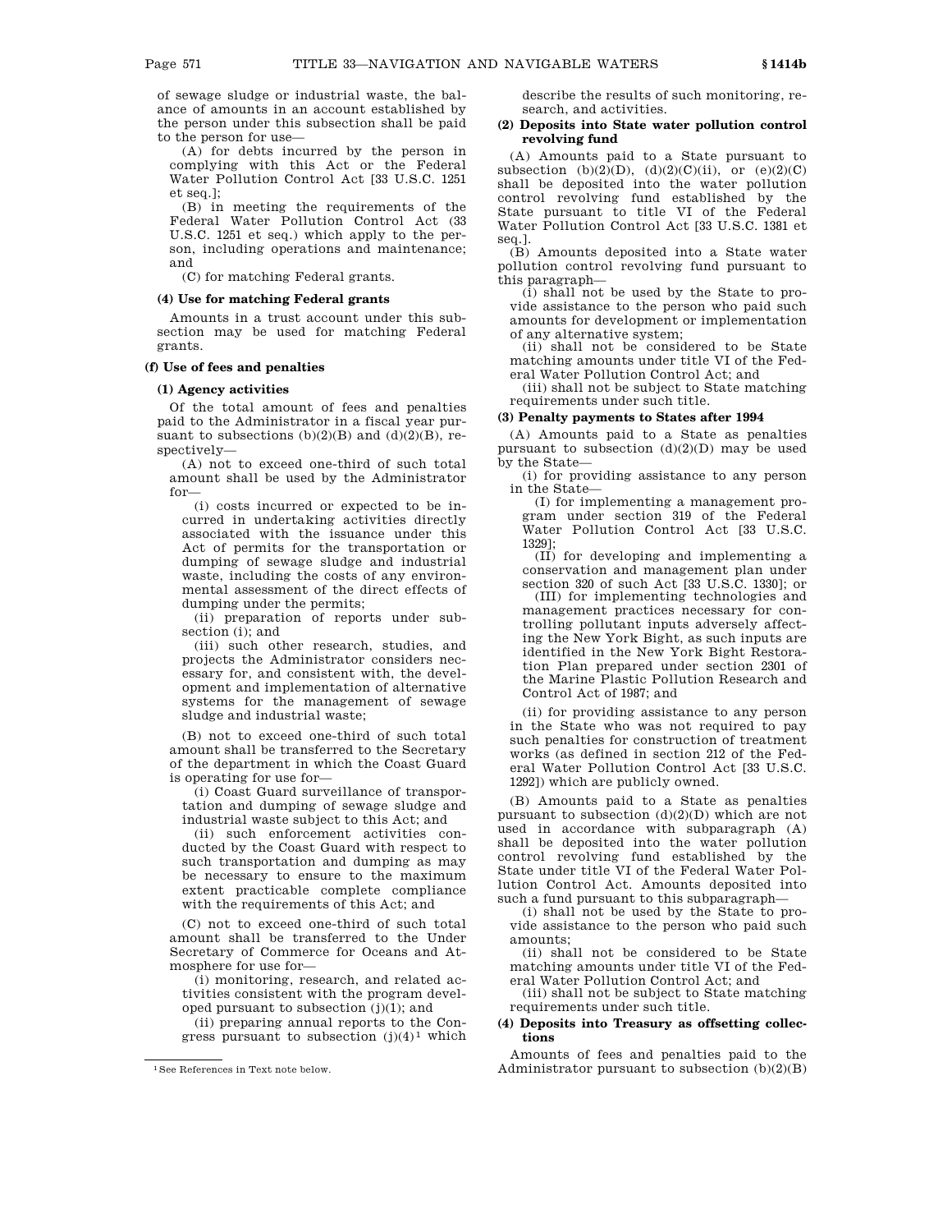of sewage sludge or industrial waste, the balance of amounts in an account established by the person under this subsection shall be paid to the person for use—

(A) for debts incurred by the person in complying with this Act or the Federal Water Pollution Control Act [33 U.S.C. 1251 et seq.];

(B) in meeting the requirements of the Federal Water Pollution Control Act (33 U.S.C. 1251 et seq.) which apply to the person, including operations and maintenance; and

(C) for matching Federal grants.

# **(4) Use for matching Federal grants**

Amounts in a trust account under this subsection may be used for matching Federal grants.

#### **(f) Use of fees and penalties**

#### **(1) Agency activities**

Of the total amount of fees and penalties paid to the Administrator in a fiscal year pursuant to subsections  $(b)(2)(B)$  and  $(d)(2)(B)$ , respectively—

(A) not to exceed one-third of such total amount shall be used by the Administrator for—

(i) costs incurred or expected to be incurred in undertaking activities directly associated with the issuance under this Act of permits for the transportation or dumping of sewage sludge and industrial waste, including the costs of any environmental assessment of the direct effects of dumping under the permits;

(ii) preparation of reports under subsection (i); and

(iii) such other research, studies, and projects the Administrator considers necessary for, and consistent with, the development and implementation of alternative systems for the management of sewage sludge and industrial waste;

(B) not to exceed one-third of such total amount shall be transferred to the Secretary of the department in which the Coast Guard is operating for use for—

(i) Coast Guard surveillance of transportation and dumping of sewage sludge and industrial waste subject to this Act; and

(ii) such enforcement activities conducted by the Coast Guard with respect to such transportation and dumping as may be necessary to ensure to the maximum extent practicable complete compliance with the requirements of this Act; and

(C) not to exceed one-third of such total amount shall be transferred to the Under Secretary of Commerce for Oceans and Atmosphere for use for—

(i) monitoring, research, and related activities consistent with the program developed pursuant to subsection  $(j)(1)$ ; and

(ii) preparing annual reports to the Congress pursuant to subsection  $(j)(4)^1$  which describe the results of such monitoring, research, and activities.

#### **(2) Deposits into State water pollution control revolving fund**

(A) Amounts paid to a State pursuant to subsection (b)(2)(D), (d)(2)(C)(ii), or (e)(2)(C) shall be deposited into the water pollution control revolving fund established by the State pursuant to title VI of the Federal Water Pollution Control Act [33 U.S.C. 1381 et seq.].

(B) Amounts deposited into a State water pollution control revolving fund pursuant to this paragraph—

(i) shall not be used by the State to provide assistance to the person who paid such amounts for development or implementation of any alternative system;

(ii) shall not be considered to be State matching amounts under title VI of the Federal Water Pollution Control Act; and

(iii) shall not be subject to State matching requirements under such title.

#### **(3) Penalty payments to States after 1994**

(A) Amounts paid to a State as penalties pursuant to subsection  $(d)(2)(D)$  may be used by the State—

(i) for providing assistance to any person in the State—

(I) for implementing a management program under section 319 of the Federal Water Pollution Control Act [33 U.S.C. 1329];

(II) for developing and implementing a conservation and management plan under section 320 of such Act [33 U.S.C. 1330]; or

(III) for implementing technologies and management practices necessary for controlling pollutant inputs adversely affecting the New York Bight, as such inputs are identified in the New York Bight Restoration Plan prepared under section 2301 of the Marine Plastic Pollution Research and Control Act of 1987; and

(ii) for providing assistance to any person in the State who was not required to pay such penalties for construction of treatment works (as defined in section 212 of the Federal Water Pollution Control Act [33 U.S.C. 1292]) which are publicly owned.

(B) Amounts paid to a State as penalties pursuant to subsection (d)(2)(D) which are not used in accordance with subparagraph (A) shall be deposited into the water pollution control revolving fund established by the State under title VI of the Federal Water Pollution Control Act. Amounts deposited into such a fund pursuant to this subparagraph—

(i) shall not be used by the State to provide assistance to the person who paid such amounts;

(ii) shall not be considered to be State matching amounts under title VI of the Federal Water Pollution Control Act; and

(iii) shall not be subject to State matching requirements under such title.

#### **(4) Deposits into Treasury as offsetting collections**

Amounts of fees and penalties paid to the Administrator pursuant to subsection  $(b)(2)(B)$ 

<sup>1</sup>See References in Text note below.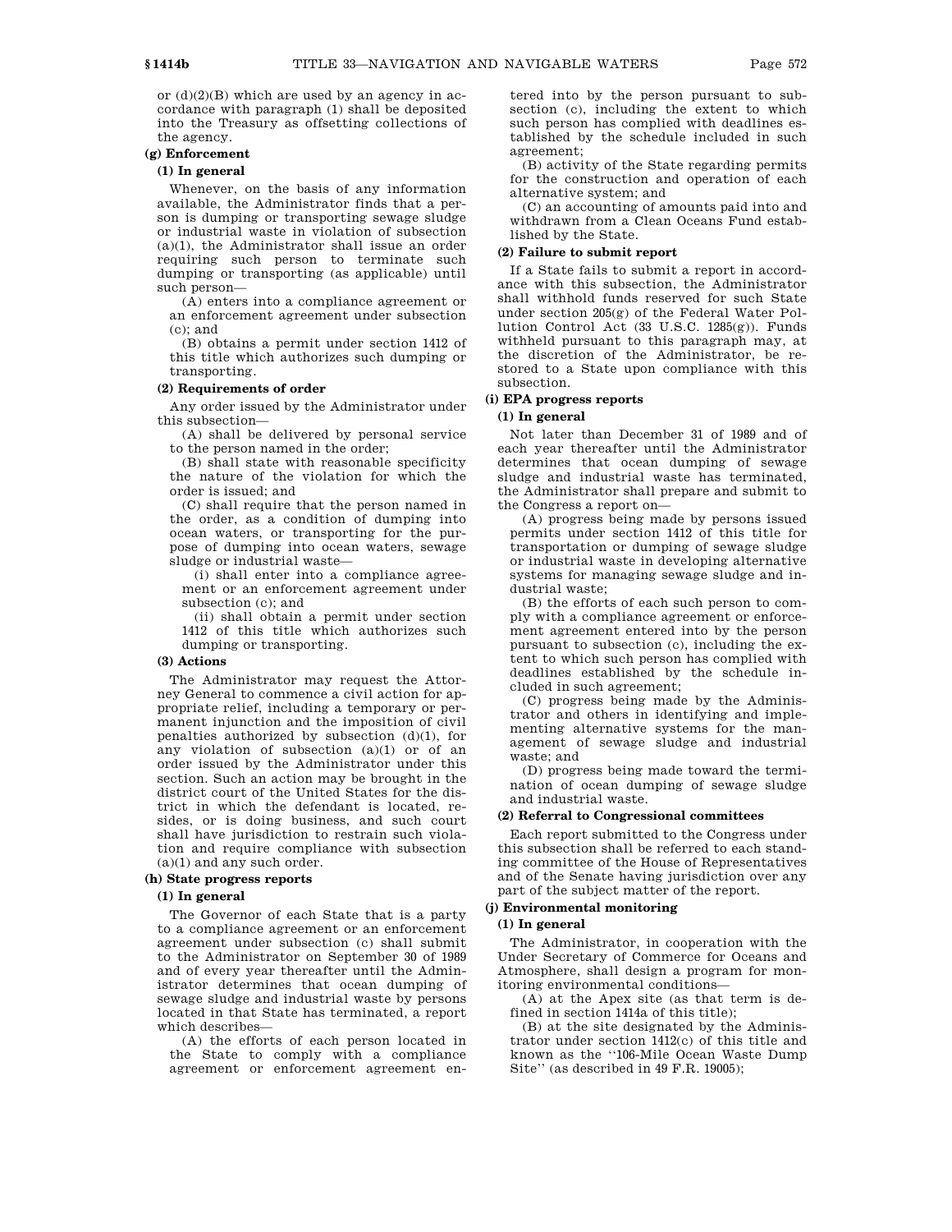or  $(d)(2)(B)$  which are used by an agency in accordance with paragraph (1) shall be deposited into the Treasury as offsetting collections of the agency.

# **(g) Enforcement**

#### **(1) In general**

Whenever, on the basis of any information available, the Administrator finds that a person is dumping or transporting sewage sludge or industrial waste in violation of subsection (a)(1), the Administrator shall issue an order requiring such person to terminate such dumping or transporting (as applicable) until such person—

(A) enters into a compliance agreement or an enforcement agreement under subsection  $(c)$ ; and

(B) obtains a permit under section 1412 of this title which authorizes such dumping or transporting.

#### **(2) Requirements of order**

Any order issued by the Administrator under this subsection—

(A) shall be delivered by personal service to the person named in the order;

(B) shall state with reasonable specificity the nature of the violation for which the order is issued; and

(C) shall require that the person named in the order, as a condition of dumping into ocean waters, or transporting for the purpose of dumping into ocean waters, sewage sludge or industrial waste—

(i) shall enter into a compliance agreement or an enforcement agreement under subsection (c); and

(ii) shall obtain a permit under section 1412 of this title which authorizes such dumping or transporting.

## **(3) Actions**

The Administrator may request the Attorney General to commence a civil action for appropriate relief, including a temporary or permanent injunction and the imposition of civil penalties authorized by subsection (d)(1), for any violation of subsection (a)(1) or of an order issued by the Administrator under this section. Such an action may be brought in the district court of the United States for the district in which the defendant is located, resides, or is doing business, and such court shall have jurisdiction to restrain such violation and require compliance with subsection (a)(1) and any such order.

# **(h) State progress reports**

# **(1) In general**

The Governor of each State that is a party to a compliance agreement or an enforcement agreement under subsection (c) shall submit to the Administrator on September 30 of 1989 and of every year thereafter until the Administrator determines that ocean dumping of sewage sludge and industrial waste by persons located in that State has terminated, a report which describes—

(A) the efforts of each person located in the State to comply with a compliance agreement or enforcement agreement entered into by the person pursuant to subsection (c), including the extent to which such person has complied with deadlines established by the schedule included in such agreement;

(B) activity of the State regarding permits for the construction and operation of each alternative system; and

(C) an accounting of amounts paid into and withdrawn from a Clean Oceans Fund established by the State.

#### **(2) Failure to submit report**

If a State fails to submit a report in accordance with this subsection, the Administrator shall withhold funds reserved for such State under section 205(g) of the Federal Water Pollution Control Act (33 U.S.C. 1285(g)). Funds withheld pursuant to this paragraph may, at the discretion of the Administrator, be restored to a State upon compliance with this subsection.

# **(i) EPA progress reports**

#### **(1) In general**

Not later than December 31 of 1989 and of each year thereafter until the Administrator determines that ocean dumping of sewage sludge and industrial waste has terminated, the Administrator shall prepare and submit to the Congress a report on—

(A) progress being made by persons issued permits under section 1412 of this title for transportation or dumping of sewage sludge or industrial waste in developing alternative systems for managing sewage sludge and industrial waste;

(B) the efforts of each such person to comply with a compliance agreement or enforcement agreement entered into by the person pursuant to subsection (c), including the extent to which such person has complied with deadlines established by the schedule included in such agreement;

(C) progress being made by the Administrator and others in identifying and implementing alternative systems for the management of sewage sludge and industrial waste; and

(D) progress being made toward the termination of ocean dumping of sewage sludge and industrial waste.

#### **(2) Referral to Congressional committees**

Each report submitted to the Congress under this subsection shall be referred to each standing committee of the House of Representatives and of the Senate having jurisdiction over any part of the subject matter of the report.

# **(j) Environmental monitoring**

# **(1) In general**

The Administrator, in cooperation with the Under Secretary of Commerce for Oceans and Atmosphere, shall design a program for monitoring environmental conditions—

(A) at the Apex site (as that term is defined in section 1414a of this title);

(B) at the site designated by the Administrator under section 1412(c) of this title and known as the ''106-Mile Ocean Waste Dump Site'' (as described in 49 F.R. 19005);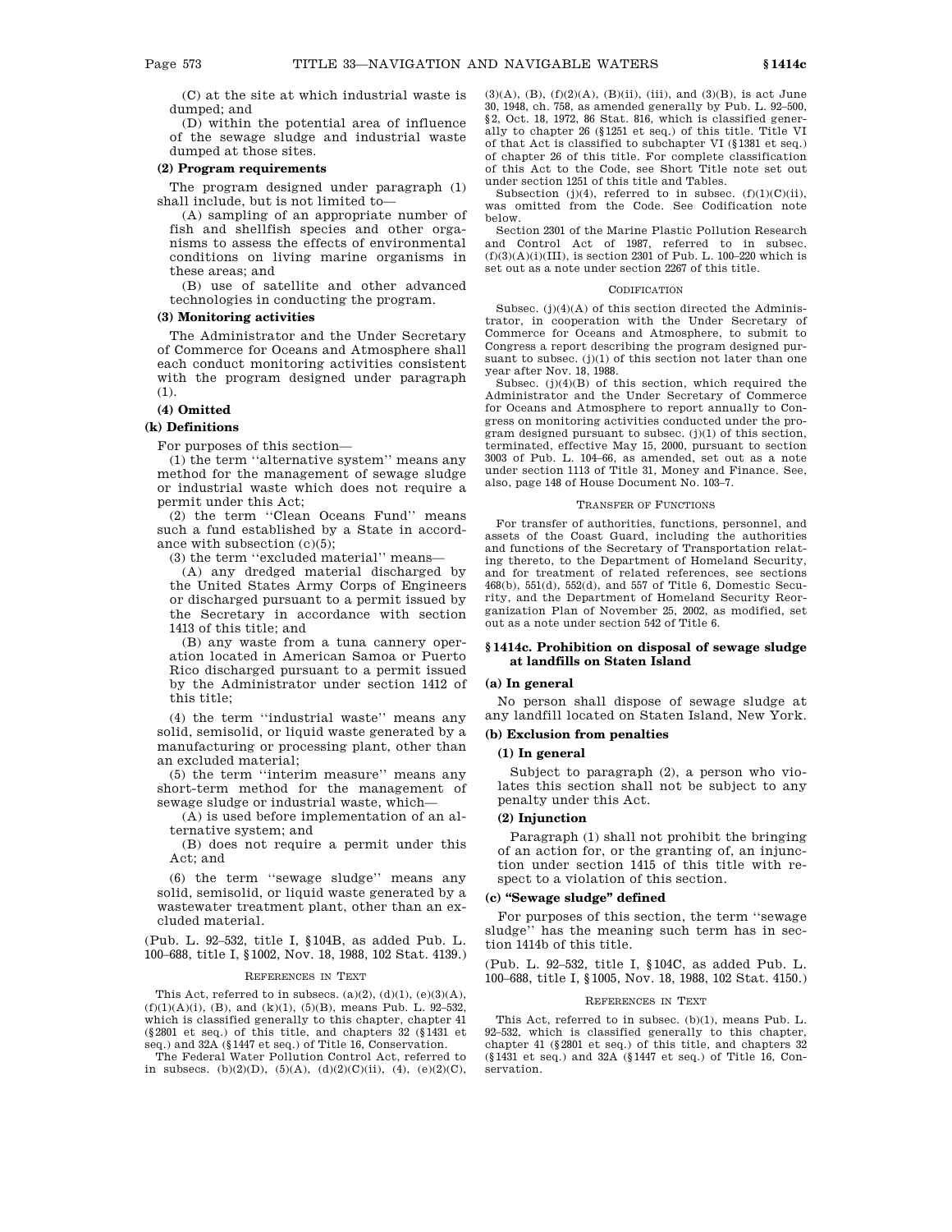(C) at the site at which industrial waste is dumped; and

(D) within the potential area of influence of the sewage sludge and industrial waste dumped at those sites.

# **(2) Program requirements**

The program designed under paragraph (1) shall include, but is not limited to—

(A) sampling of an appropriate number of fish and shellfish species and other organisms to assess the effects of environmental conditions on living marine organisms in these areas; and

(B) use of satellite and other advanced technologies in conducting the program.

#### **(3) Monitoring activities**

The Administrator and the Under Secretary of Commerce for Oceans and Atmosphere shall each conduct monitoring activities consistent with the program designed under paragraph (1).

#### **(4) Omitted**

## **(k) Definitions**

For purposes of this section—

(1) the term ''alternative system'' means any method for the management of sewage sludge or industrial waste which does not require a permit under this Act;

(2) the term ''Clean Oceans Fund'' means such a fund established by a State in accordance with subsection (c)(5);

(3) the term ''excluded material'' means—

(A) any dredged material discharged by the United States Army Corps of Engineers or discharged pursuant to a permit issued by the Secretary in accordance with section 1413 of this title; and

(B) any waste from a tuna cannery operation located in American Samoa or Puerto Rico discharged pursuant to a permit issued by the Administrator under section 1412 of this title;

(4) the term ''industrial waste'' means any solid, semisolid, or liquid waste generated by a manufacturing or processing plant, other than an excluded material;

(5) the term ''interim measure'' means any short-term method for the management of sewage sludge or industrial waste, which—

(A) is used before implementation of an alternative system; and

(B) does not require a permit under this Act; and

(6) the term ''sewage sludge'' means any solid, semisolid, or liquid waste generated by a wastewater treatment plant, other than an excluded material.

(Pub. L. 92–532, title I, §104B, as added Pub. L. 100–688, title I, §1002, Nov. 18, 1988, 102 Stat. 4139.)

#### REFERENCES IN TEXT

This Act, referred to in subsecs.  $(a)(2)$ ,  $(d)(1)$ ,  $(e)(3)(A)$ ,  $(f)(1)(A)(i)$ ,  $(B)$ , and  $(k)(1)$ ,  $(5)(B)$ , means Pub. L. 92-532, which is classified generally to this chapter, chapter 41 (§2801 et seq.) of this title, and chapters 32 (§1431 et seq.) and 32A (§1447 et seq.) of Title 16, Conservation.

The Federal Water Pollution Control Act, referred to in subsecs. (b)(2)(D), (5)(A), (d)(2)(C)(ii), (4), (e)(2)(C), (3)(A), (B), (f)(2)(A), (B)(ii), (iii), and (3)(B), is act June 30, 1948, ch. 758, as amended generally by Pub. L. 92–500, §2, Oct. 18, 1972, 86 Stat. 816, which is classified generally to chapter 26 (§1251 et seq.) of this title. Title VI of that Act is classified to subchapter VI (§1381 et seq.) of chapter 26 of this title. For complete classification of this Act to the Code, see Short Title note set out under section 1251 of this title and Tables.

Subsection (j)(4), referred to in subsec.  $(f)(1)(C)(ii)$ , was omitted from the Code. See Codification note below.

Section 2301 of the Marine Plastic Pollution Research and Control Act of 1987, referred to in subsec.  $(f)(3)(A)(i)(III)$ , is section 2301 of Pub. L. 100–220 which is set out as a note under section 2267 of this title.

#### **CODIFICATION**

Subsec.  $(j)(4)(A)$  of this section directed the Administrator, in cooperation with the Under Secretary of Commerce for Oceans and Atmosphere, to submit to Congress a report describing the program designed pursuant to subsec.  $(j)(1)$  of this section not later than one year after Nov. 18, 1988.

Subsec.  $(i)(4)(B)$  of this section, which required the Administrator and the Under Secretary of Commerce for Oceans and Atmosphere to report annually to Congress on monitoring activities conducted under the program designed pursuant to subsec. (j)(1) of this section, terminated, effective May 15, 2000, pursuant to section 3003 of Pub. L. 104–66, as amended, set out as a note under section 1113 of Title 31, Money and Finance. See, also, page 148 of House Document No. 103–7.

#### TRANSFER OF FUNCTIONS

For transfer of authorities, functions, personnel, and assets of the Coast Guard, including the authorities and functions of the Secretary of Transportation relating thereto, to the Department of Homeland Security, and for treatment of related references, see sections 468(b), 551(d), 552(d), and 557 of Title 6, Domestic Security, and the Department of Homeland Security Reorganization Plan of November 25, 2002, as modified, set out as a note under section 542 of Title 6.

#### **§ 1414c. Prohibition on disposal of sewage sludge at landfills on Staten Island**

#### **(a) In general**

No person shall dispose of sewage sludge at any landfill located on Staten Island, New York.

# **(b) Exclusion from penalties**

# **(1) In general**

Subject to paragraph (2), a person who violates this section shall not be subject to any penalty under this Act.

# **(2) Injunction**

Paragraph (1) shall not prohibit the bringing of an action for, or the granting of, an injunction under section 1415 of this title with respect to a violation of this section.

#### **(c) ''Sewage sludge'' defined**

For purposes of this section, the term ''sewage sludge'' has the meaning such term has in section 1414b of this title.

(Pub. L. 92–532, title I, §104C, as added Pub. L. 100–688, title I, §1005, Nov. 18, 1988, 102 Stat. 4150.)

#### REFERENCES IN TEXT

This Act, referred to in subsec. (b)(1), means Pub. L. 92–532, which is classified generally to this chapter, chapter 41 (§2801 et seq.) of this title, and chapters 32 (§1431 et seq.) and 32A (§1447 et seq.) of Title 16, Conservation.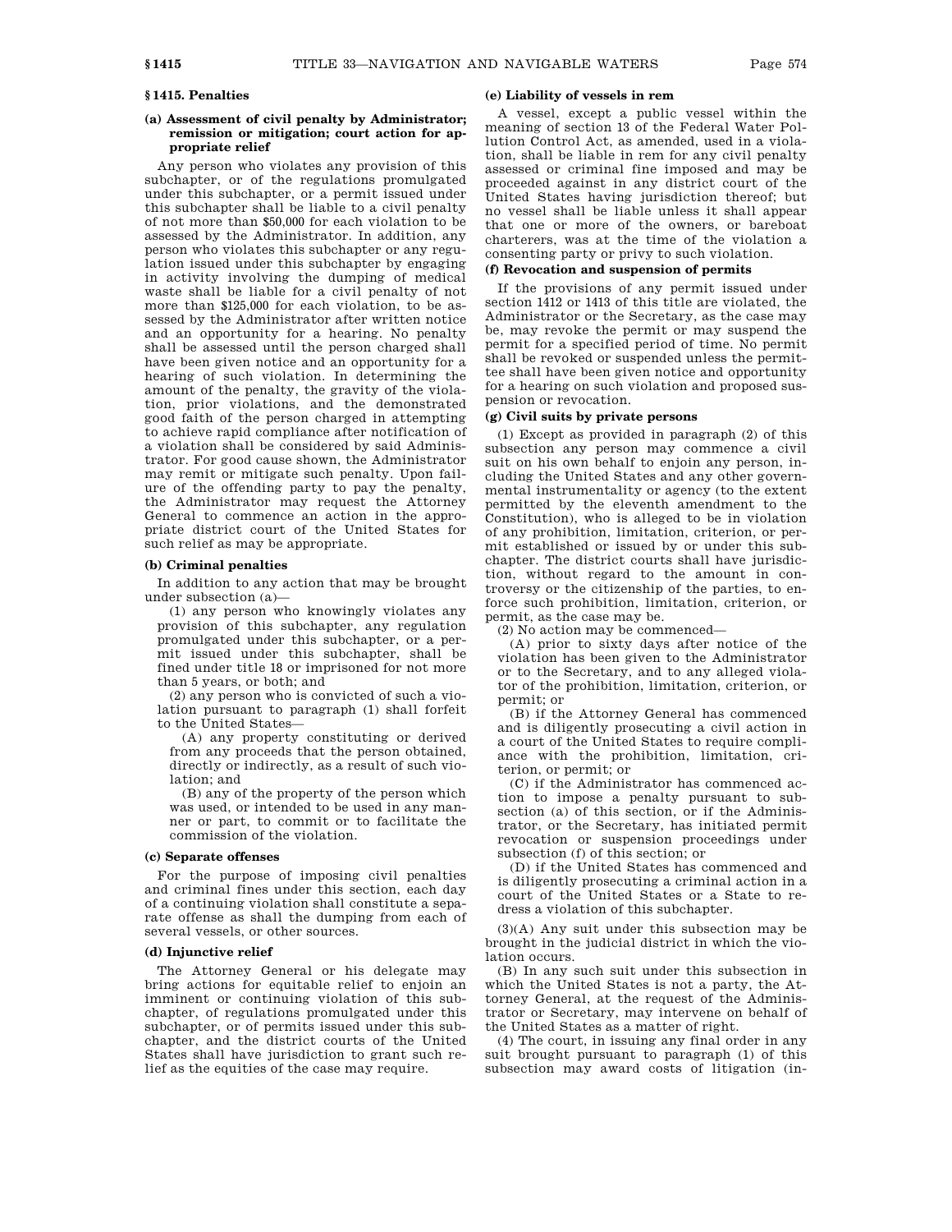# **§ 1415. Penalties**

# **(a) Assessment of civil penalty by Administrator; remission or mitigation; court action for appropriate relief**

Any person who violates any provision of this subchapter, or of the regulations promulgated under this subchapter, or a permit issued under this subchapter shall be liable to a civil penalty of not more than \$50,000 for each violation to be assessed by the Administrator. In addition, any person who violates this subchapter or any regulation issued under this subchapter by engaging in activity involving the dumping of medical waste shall be liable for a civil penalty of not more than \$125,000 for each violation, to be assessed by the Administrator after written notice and an opportunity for a hearing. No penalty shall be assessed until the person charged shall have been given notice and an opportunity for a hearing of such violation. In determining the amount of the penalty, the gravity of the violation, prior violations, and the demonstrated good faith of the person charged in attempting to achieve rapid compliance after notification of a violation shall be considered by said Administrator. For good cause shown, the Administrator may remit or mitigate such penalty. Upon failure of the offending party to pay the penalty, the Administrator may request the Attorney General to commence an action in the appropriate district court of the United States for such relief as may be appropriate.

## **(b) Criminal penalties**

In addition to any action that may be brought under subsection (a)—

(1) any person who knowingly violates any provision of this subchapter, any regulation promulgated under this subchapter, or a permit issued under this subchapter, shall be fined under title 18 or imprisoned for not more than 5 years, or both; and

(2) any person who is convicted of such a violation pursuant to paragraph (1) shall forfeit to the United States—

(A) any property constituting or derived from any proceeds that the person obtained, directly or indirectly, as a result of such violation; and

(B) any of the property of the person which was used, or intended to be used in any manner or part, to commit or to facilitate the commission of the violation.

#### **(c) Separate offenses**

For the purpose of imposing civil penalties and criminal fines under this section, each day of a continuing violation shall constitute a separate offense as shall the dumping from each of several vessels, or other sources.

#### **(d) Injunctive relief**

The Attorney General or his delegate may bring actions for equitable relief to enjoin an imminent or continuing violation of this subchapter, of regulations promulgated under this subchapter, or of permits issued under this subchapter, and the district courts of the United States shall have jurisdiction to grant such relief as the equities of the case may require.

## **(e) Liability of vessels in rem**

A vessel, except a public vessel within the meaning of section 13 of the Federal Water Pollution Control Act, as amended, used in a violation, shall be liable in rem for any civil penalty assessed or criminal fine imposed and may be proceeded against in any district court of the United States having jurisdiction thereof; but no vessel shall be liable unless it shall appear that one or more of the owners, or bareboat charterers, was at the time of the violation a consenting party or privy to such violation.

#### **(f) Revocation and suspension of permits**

If the provisions of any permit issued under section 1412 or 1413 of this title are violated, the Administrator or the Secretary, as the case may be, may revoke the permit or may suspend the permit for a specified period of time. No permit shall be revoked or suspended unless the permittee shall have been given notice and opportunity for a hearing on such violation and proposed suspension or revocation.

#### **(g) Civil suits by private persons**

(1) Except as provided in paragraph (2) of this subsection any person may commence a civil suit on his own behalf to enjoin any person, including the United States and any other governmental instrumentality or agency (to the extent permitted by the eleventh amendment to the Constitution), who is alleged to be in violation of any prohibition, limitation, criterion, or permit established or issued by or under this subchapter. The district courts shall have jurisdiction, without regard to the amount in controversy or the citizenship of the parties, to enforce such prohibition, limitation, criterion, or permit, as the case may be.

(2) No action may be commenced—

(A) prior to sixty days after notice of the violation has been given to the Administrator or to the Secretary, and to any alleged violator of the prohibition, limitation, criterion, or permit; or

(B) if the Attorney General has commenced and is diligently prosecuting a civil action in a court of the United States to require compliance with the prohibition, limitation, criterion, or permit; or

(C) if the Administrator has commenced action to impose a penalty pursuant to subsection (a) of this section, or if the Administrator, or the Secretary, has initiated permit revocation or suspension proceedings under subsection (f) of this section; or

(D) if the United States has commenced and is diligently prosecuting a criminal action in a court of the United States or a State to redress a violation of this subchapter.

(3)(A) Any suit under this subsection may be brought in the judicial district in which the violation occurs.

(B) In any such suit under this subsection in which the United States is not a party, the Attorney General, at the request of the Administrator or Secretary, may intervene on behalf of the United States as a matter of right.

(4) The court, in issuing any final order in any suit brought pursuant to paragraph (1) of this subsection may award costs of litigation (in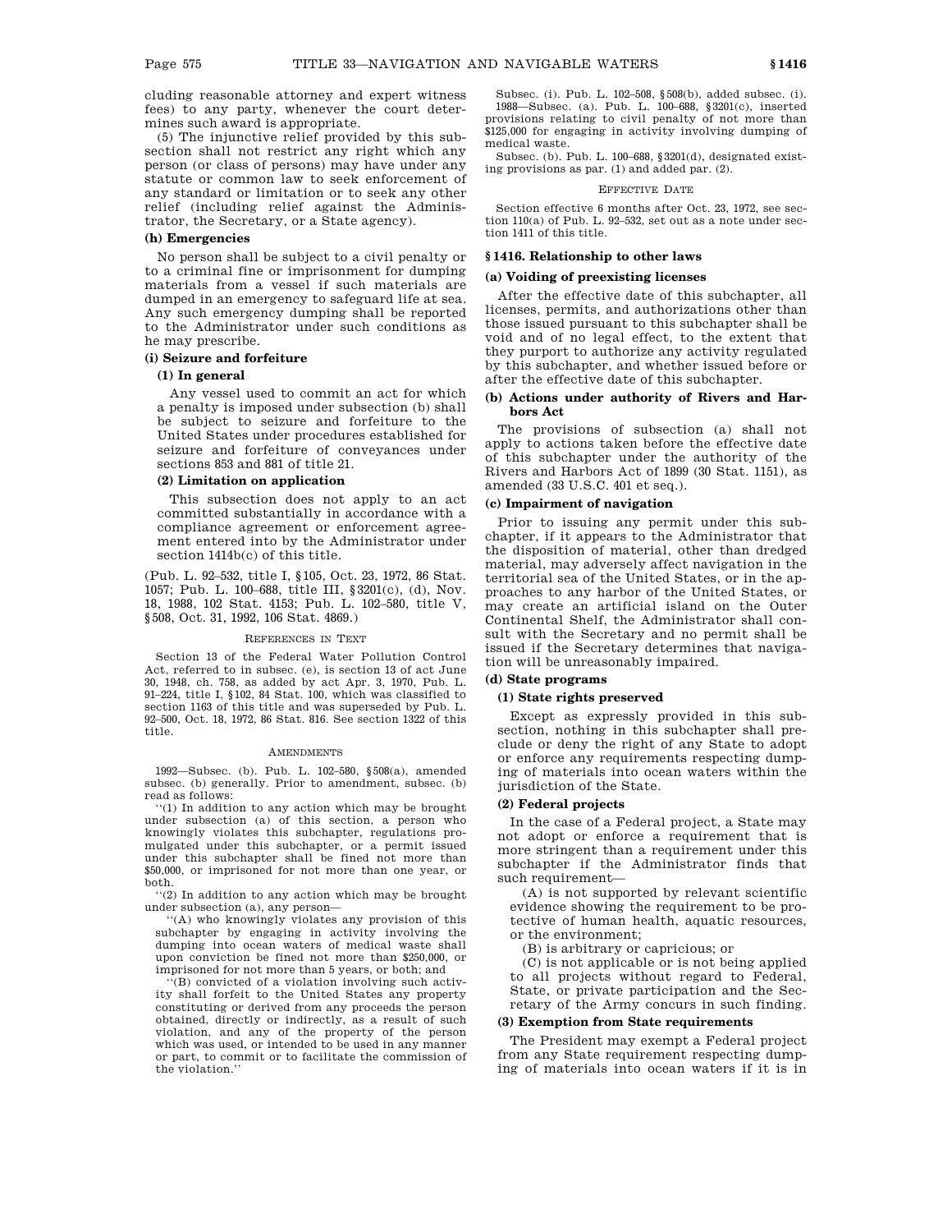cluding reasonable attorney and expert witness fees) to any party, whenever the court determines such award is appropriate.

(5) The injunctive relief provided by this subsection shall not restrict any right which any person (or class of persons) may have under any statute or common law to seek enforcement of any standard or limitation or to seek any other relief (including relief against the Administrator, the Secretary, or a State agency).

# **(h) Emergencies**

No person shall be subject to a civil penalty or to a criminal fine or imprisonment for dumping materials from a vessel if such materials are dumped in an emergency to safeguard life at sea. Any such emergency dumping shall be reported to the Administrator under such conditions as he may prescribe.

# **(i) Seizure and forfeiture**

# **(1) In general**

Any vessel used to commit an act for which a penalty is imposed under subsection (b) shall be subject to seizure and forfeiture to the United States under procedures established for seizure and forfeiture of conveyances under sections 853 and 881 of title 21.

# **(2) Limitation on application**

This subsection does not apply to an act committed substantially in accordance with a compliance agreement or enforcement agreement entered into by the Administrator under section 1414b(c) of this title.

(Pub. L. 92–532, title I, §105, Oct. 23, 1972, 86 Stat. 1057; Pub. L. 100–688, title III, §3201(c), (d), Nov. 18, 1988, 102 Stat. 4153; Pub. L. 102–580, title V, §508, Oct. 31, 1992, 106 Stat. 4869.)

#### REFERENCES IN TEXT

Section 13 of the Federal Water Pollution Control Act, referred to in subsec. (e), is section 13 of act June 30, 1948, ch. 758, as added by act Apr. 3, 1970, Pub. L. 91–224, title I, §102, 84 Stat. 100, which was classified to section 1163 of this title and was superseded by Pub. L. 92–500, Oct. 18, 1972, 86 Stat. 816. See section 1322 of this title.

#### AMENDMENTS

1992—Subsec. (b). Pub. L. 102–580, §508(a), amended subsec. (b) generally. Prior to amendment, subsec. (b) read as follows:

''(1) In addition to any action which may be brought under subsection (a) of this section, a person who knowingly violates this subchapter, regulations promulgated under this subchapter, or a permit issued under this subchapter shall be fined not more than \$50,000, or imprisoned for not more than one year, or both.

''(2) In addition to any action which may be brought under subsection (a), any person—

''(A) who knowingly violates any provision of this subchapter by engaging in activity involving the dumping into ocean waters of medical waste shall upon conviction be fined not more than \$250,000, or imprisoned for not more than 5 years, or both; and

 $\mathbf{F}(\mathbf{B})$  convicted of a violation involving such activity shall forfeit to the United States any property constituting or derived from any proceeds the person obtained, directly or indirectly, as a result of such violation, and any of the property of the person which was used, or intended to be used in any manner or part, to commit or to facilitate the commission of the violation.''

Subsec. (i). Pub. L. 102–508, §508(b), added subsec. (i). 1988—Subsec. (a). Pub. L. 100–688, §3201(c), inserted provisions relating to civil penalty of not more than \$125,000 for engaging in activity involving dumping of medical waste.

Subsec. (b). Pub. L. 100–688, §3201(d), designated existing provisions as par. (1) and added par. (2).

#### EFFECTIVE DATE

Section effective 6 months after Oct. 23, 1972, see section 110(a) of Pub. L. 92–532, set out as a note under section 1411 of this title.

# **§ 1416. Relationship to other laws**

#### **(a) Voiding of preexisting licenses**

After the effective date of this subchapter, all licenses, permits, and authorizations other than those issued pursuant to this subchapter shall be void and of no legal effect, to the extent that they purport to authorize any activity regulated by this subchapter, and whether issued before or after the effective date of this subchapter.

#### **(b) Actions under authority of Rivers and Harbors Act**

The provisions of subsection (a) shall not apply to actions taken before the effective date of this subchapter under the authority of the Rivers and Harbors Act of 1899 (30 Stat. 1151), as amended (33 U.S.C. 401 et seq.).

#### **(c) Impairment of navigation**

Prior to issuing any permit under this subchapter, if it appears to the Administrator that the disposition of material, other than dredged material, may adversely affect navigation in the territorial sea of the United States, or in the approaches to any harbor of the United States, or may create an artificial island on the Outer Continental Shelf, the Administrator shall consult with the Secretary and no permit shall be issued if the Secretary determines that navigation will be unreasonably impaired.

## **(d) State programs**

#### **(1) State rights preserved**

Except as expressly provided in this subsection, nothing in this subchapter shall preclude or deny the right of any State to adopt or enforce any requirements respecting dumping of materials into ocean waters within the jurisdiction of the State.

# **(2) Federal projects**

In the case of a Federal project, a State may not adopt or enforce a requirement that is more stringent than a requirement under this subchapter if the Administrator finds that such requirement—

(A) is not supported by relevant scientific evidence showing the requirement to be protective of human health, aquatic resources, or the environment;

(B) is arbitrary or capricious; or

(C) is not applicable or is not being applied to all projects without regard to Federal, State, or private participation and the Secretary of the Army concurs in such finding.

#### **(3) Exemption from State requirements**

The President may exempt a Federal project from any State requirement respecting dumping of materials into ocean waters if it is in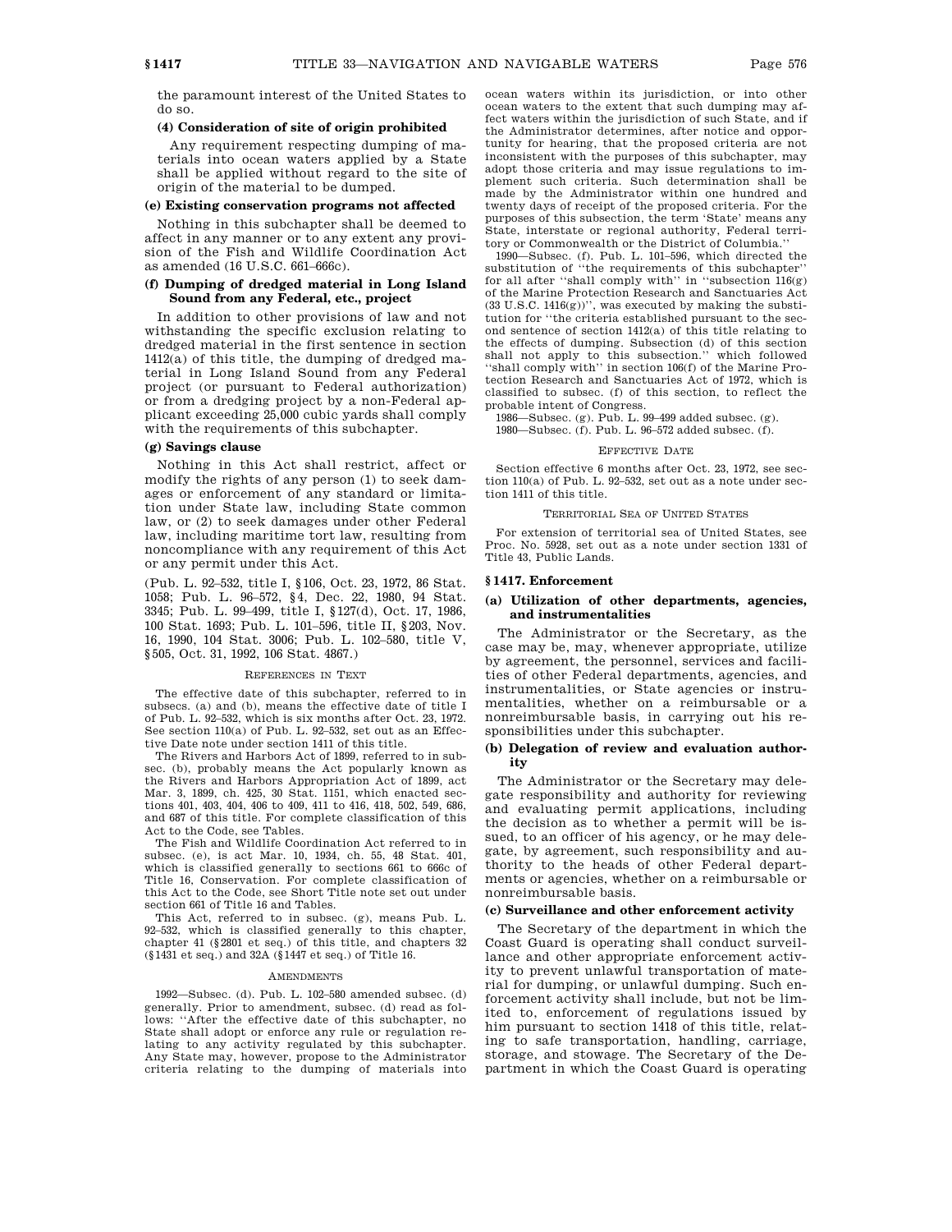the paramount interest of the United States to do so.

# **(4) Consideration of site of origin prohibited**

Any requirement respecting dumping of materials into ocean waters applied by a State shall be applied without regard to the site of origin of the material to be dumped.

# **(e) Existing conservation programs not affected**

Nothing in this subchapter shall be deemed to affect in any manner or to any extent any provision of the Fish and Wildlife Coordination Act as amended (16 U.S.C. 661–666c).

# **(f) Dumping of dredged material in Long Island Sound from any Federal, etc., project**

In addition to other provisions of law and not withstanding the specific exclusion relating to dredged material in the first sentence in section 1412(a) of this title, the dumping of dredged material in Long Island Sound from any Federal project (or pursuant to Federal authorization) or from a dredging project by a non-Federal applicant exceeding 25,000 cubic yards shall comply with the requirements of this subchapter.

#### **(g) Savings clause**

Nothing in this Act shall restrict, affect or modify the rights of any person (1) to seek damages or enforcement of any standard or limitation under State law, including State common law, or (2) to seek damages under other Federal law, including maritime tort law, resulting from noncompliance with any requirement of this Act or any permit under this Act.

(Pub. L. 92–532, title I, §106, Oct. 23, 1972, 86 Stat. 1058; Pub. L. 96–572, §4, Dec. 22, 1980, 94 Stat. 3345; Pub. L. 99–499, title I, §127(d), Oct. 17, 1986, 100 Stat. 1693; Pub. L. 101–596, title II, §203, Nov. 16, 1990, 104 Stat. 3006; Pub. L. 102–580, title V, §505, Oct. 31, 1992, 106 Stat. 4867.)

#### REFERENCES IN TEXT

The effective date of this subchapter, referred to in subsecs. (a) and (b), means the effective date of title I of Pub. L. 92–532, which is six months after Oct. 23, 1972. See section 110(a) of Pub. L. 92–532, set out as an Effective Date note under section 1411 of this title.

The Rivers and Harbors Act of 1899, referred to in subsec. (b), probably means the Act popularly known as the Rivers and Harbors Appropriation Act of 1899, act Mar. 3, 1899, ch. 425, 30 Stat. 1151, which enacted sections 401, 403, 404, 406 to 409, 411 to 416, 418, 502, 549, 686, and 687 of this title. For complete classification of this Act to the Code, see Tables.

The Fish and Wildlife Coordination Act referred to in subsec. (e), is act Mar. 10, 1934, ch. 55, 48 Stat. 401, which is classified generally to sections 661 to 666c of Title 16, Conservation. For complete classification of this Act to the Code, see Short Title note set out under section 661 of Title 16 and Tables.

This Act, referred to in subsec. (g), means Pub. L. 92–532, which is classified generally to this chapter, chapter 41 (§2801 et seq.) of this title, and chapters 32 (§1431 et seq.) and 32A (§1447 et seq.) of Title 16.

#### AMENDMENTS

1992—Subsec. (d). Pub. L. 102–580 amended subsec. (d) generally. Prior to amendment, subsec. (d) read as follows: ''After the effective date of this subchapter, no State shall adopt or enforce any rule or regulation relating to any activity regulated by this subchapter. Any State may, however, propose to the Administrator criteria relating to the dumping of materials into ocean waters within its jurisdiction, or into other ocean waters to the extent that such dumping may affect waters within the jurisdiction of such State, and if the Administrator determines, after notice and opportunity for hearing, that the proposed criteria are not inconsistent with the purposes of this subchapter, may adopt those criteria and may issue regulations to implement such criteria. Such determination shall be made by the Administrator within one hundred and twenty days of receipt of the proposed criteria. For the purposes of this subsection, the term 'State' means any State, interstate or regional authority, Federal territory or Commonwealth or the District of Columbia.''

1990—Subsec. (f). Pub. L. 101–596, which directed the substitution of ''the requirements of this subchapter'' for all after ''shall comply with'' in ''subsection 116(g) of the Marine Protection Research and Sanctuaries Act  $(33 \text{ U.S.C. } 1416(g))$ ", was executed by making the substitution for ''the criteria established pursuant to the second sentence of section 1412(a) of this title relating to the effects of dumping. Subsection (d) of this section shall not apply to this subsection.'' which followed ''shall comply with'' in section 106(f) of the Marine Protection Research and Sanctuaries Act of 1972, which is classified to subsec. (f) of this section, to reflect the probable intent of Congress.

1986—Subsec. (g). Pub. L. 99–499 added subsec. (g). 1980—Subsec. (f). Pub. L. 96–572 added subsec. (f).

#### EFFECTIVE DATE

Section effective 6 months after Oct. 23, 1972, see section 110(a) of Pub. L. 92–532, set out as a note under section 1411 of this title.

# TERRITORIAL SEA OF UNITED STATES

For extension of territorial sea of United States, see Proc. No. 5928, set out as a note under section 1331 of Title 43, Public Lands.

#### **§ 1417. Enforcement**

#### **(a) Utilization of other departments, agencies, and instrumentalities**

The Administrator or the Secretary, as the case may be, may, whenever appropriate, utilize by agreement, the personnel, services and facilities of other Federal departments, agencies, and instrumentalities, or State agencies or instrumentalities, whether on a reimbursable or a nonreimbursable basis, in carrying out his responsibilities under this subchapter.

### **(b) Delegation of review and evaluation authority**

The Administrator or the Secretary may delegate responsibility and authority for reviewing and evaluating permit applications, including the decision as to whether a permit will be issued, to an officer of his agency, or he may delegate, by agreement, such responsibility and authority to the heads of other Federal departments or agencies, whether on a reimbursable or nonreimbursable basis.

#### **(c) Surveillance and other enforcement activity**

The Secretary of the department in which the Coast Guard is operating shall conduct surveillance and other appropriate enforcement activity to prevent unlawful transportation of material for dumping, or unlawful dumping. Such enforcement activity shall include, but not be limited to, enforcement of regulations issued by him pursuant to section 1418 of this title, relating to safe transportation, handling, carriage, storage, and stowage. The Secretary of the Department in which the Coast Guard is operating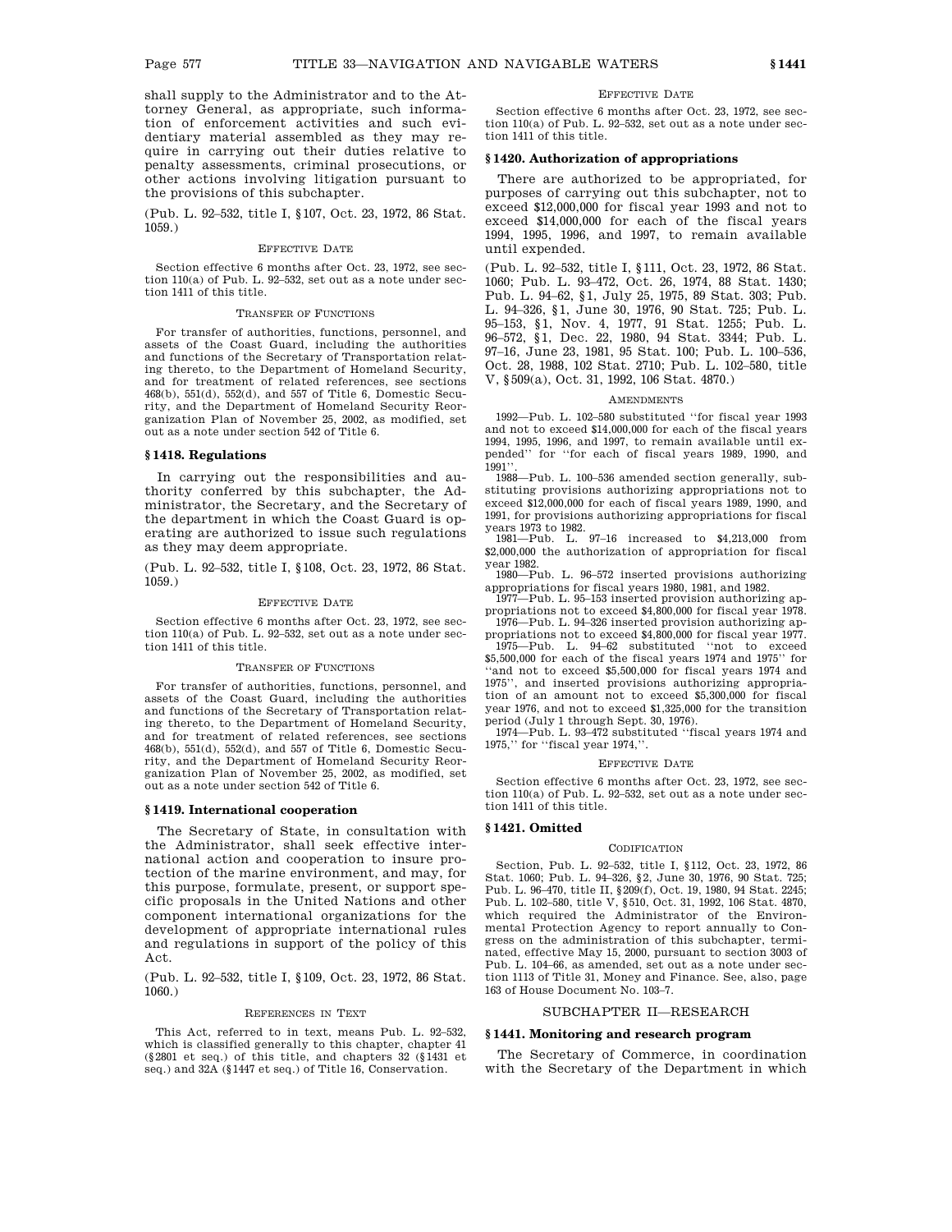shall supply to the Administrator and to the Attorney General, as appropriate, such information of enforcement activities and such evidentiary material assembled as they may require in carrying out their duties relative to penalty assessments, criminal prosecutions, or other actions involving litigation pursuant to the provisions of this subchapter.

(Pub. L. 92–532, title I, §107, Oct. 23, 1972, 86 Stat. 1059.)

#### EFFECTIVE DATE

Section effective 6 months after Oct. 23, 1972, see section 110(a) of Pub. L. 92–532, set out as a note under section 1411 of this title.

#### TRANSFER OF FUNCTIONS

For transfer of authorities, functions, personnel, and assets of the Coast Guard, including the authorities and functions of the Secretary of Transportation relating thereto, to the Department of Homeland Security, and for treatment of related references, see sections 468(b), 551(d), 552(d), and 557 of Title 6, Domestic Security, and the Department of Homeland Security Reorganization Plan of November 25, 2002, as modified, set out as a note under section 542 of Title 6.

#### **§ 1418. Regulations**

In carrying out the responsibilities and authority conferred by this subchapter, the Administrator, the Secretary, and the Secretary of the department in which the Coast Guard is operating are authorized to issue such regulations as they may deem appropriate.

(Pub. L. 92–532, title I, §108, Oct. 23, 1972, 86 Stat. 1059.)

#### EFFECTIVE DATE

Section effective 6 months after Oct. 23, 1972, see section 110(a) of Pub. L. 92–532, set out as a note under section 1411 of this title.

#### TRANSFER OF FUNCTIONS

For transfer of authorities, functions, personnel, and assets of the Coast Guard, including the authorities and functions of the Secretary of Transportation relating thereto, to the Department of Homeland Security, and for treatment of related references, see sections 468(b), 551(d), 552(d), and 557 of Title 6, Domestic Security, and the Department of Homeland Security Reorganization Plan of November 25, 2002, as modified, set out as a note under section 542 of Title 6.

#### **§ 1419. International cooperation**

The Secretary of State, in consultation with the Administrator, shall seek effective international action and cooperation to insure protection of the marine environment, and may, for this purpose, formulate, present, or support specific proposals in the United Nations and other component international organizations for the development of appropriate international rules and regulations in support of the policy of this Act.

(Pub. L. 92–532, title I, §109, Oct. 23, 1972, 86 Stat. 1060.)

#### REFERENCES IN TEXT

This Act, referred to in text, means Pub. L. 92–532, which is classified generally to this chapter, chapter 41 (§2801 et seq.) of this title, and chapters 32 (§1431 et seq.) and 32A (§1447 et seq.) of Title 16, Conservation.

#### EFFECTIVE DATE

Section effective 6 months after Oct. 23, 1972, see section 110(a) of Pub. L. 92–532, set out as a note under section 1411 of this title.

#### **§ 1420. Authorization of appropriations**

There are authorized to be appropriated, for purposes of carrying out this subchapter, not to exceed \$12,000,000 for fiscal year 1993 and not to exceed \$14,000,000 for each of the fiscal years 1994, 1995, 1996, and 1997, to remain available until expended.

(Pub. L. 92–532, title I, §111, Oct. 23, 1972, 86 Stat. 1060; Pub. L. 93–472, Oct. 26, 1974, 88 Stat. 1430; Pub. L. 94–62, §1, July 25, 1975, 89 Stat. 303; Pub. L. 94–326, §1, June 30, 1976, 90 Stat. 725; Pub. L. 95–153, §1, Nov. 4, 1977, 91 Stat. 1255; Pub. L. 96–572, §1, Dec. 22, 1980, 94 Stat. 3344; Pub. L. 97–16, June 23, 1981, 95 Stat. 100; Pub. L. 100–536, Oct. 28, 1988, 102 Stat. 2710; Pub. L. 102–580, title V, §509(a), Oct. 31, 1992, 106 Stat. 4870.)

#### AMENDMENTS

1992—Pub. L. 102–580 substituted ''for fiscal year 1993 and not to exceed \$14,000,000 for each of the fiscal years 1994, 1995, 1996, and 1997, to remain available until expended'' for ''for each of fiscal years 1989, 1990, and 1991''.

1988—Pub. L. 100–536 amended section generally, substituting provisions authorizing appropriations not to exceed \$12,000,000 for each of fiscal years 1989, 1990, and 1991, for provisions authorizing appropriations for fiscal

years 1973 to 1982. 1981—Pub. L. 97–16 increased to \$4,213,000 from \$2,000,000 the authorization of appropriation for fiscal year 1982.

1980—Pub. L. 96–572 inserted provisions authorizing appropriations for fiscal years 1980, 1981, and 1982.

1977—Pub. L. 95–153 inserted provision authorizing appropriations not to exceed \$4,800,000 for fiscal year 1978. 1976—Pub. L. 94–326 inserted provision authorizing ap-

propriations not to exceed \$4,800,000 for fiscal year 1977. 1975—Pub. L. 94–62 substituted ''not to exceed

\$5,500,000 for each of the fiscal years 1974 and 1975'' for ''and not to exceed \$5,500,000 for fiscal years 1974 and 1975'', and inserted provisions authorizing appropriation of an amount not to exceed \$5,300,000 for fiscal year 1976, and not to exceed \$1,325,000 for the transition period (July 1 through Sept. 30, 1976).

1974—Pub. L. 93–472 substituted ''fiscal years 1974 and 1975,'' for ''fiscal year 1974,''.

#### EFFECTIVE DATE

Section effective 6 months after Oct. 23, 1972, see section 110(a) of Pub. L. 92–532, set out as a note under section 1411 of this title.

#### **§ 1421. Omitted**

#### **CODIFICATION**

Section, Pub. L. 92–532, title I, §112, Oct. 23, 1972, 86 Stat. 1060; Pub. L. 94–326, §2, June 30, 1976, 90 Stat. 725; Pub. L. 96–470, title II, §209(f), Oct. 19, 1980, 94 Stat. 2245; Pub. L. 102–580, title V, §510, Oct. 31, 1992, 106 Stat. 4870, which required the Administrator of the Environmental Protection Agency to report annually to Congress on the administration of this subchapter, terminated, effective May 15, 2000, pursuant to section 3003 of Pub. L. 104–66, as amended, set out as a note under section 1113 of Title 31, Money and Finance. See, also, page 163 of House Document No. 103–7.

#### SUBCHAPTER II—RESEARCH

# **§ 1441. Monitoring and research program**

The Secretary of Commerce, in coordination with the Secretary of the Department in which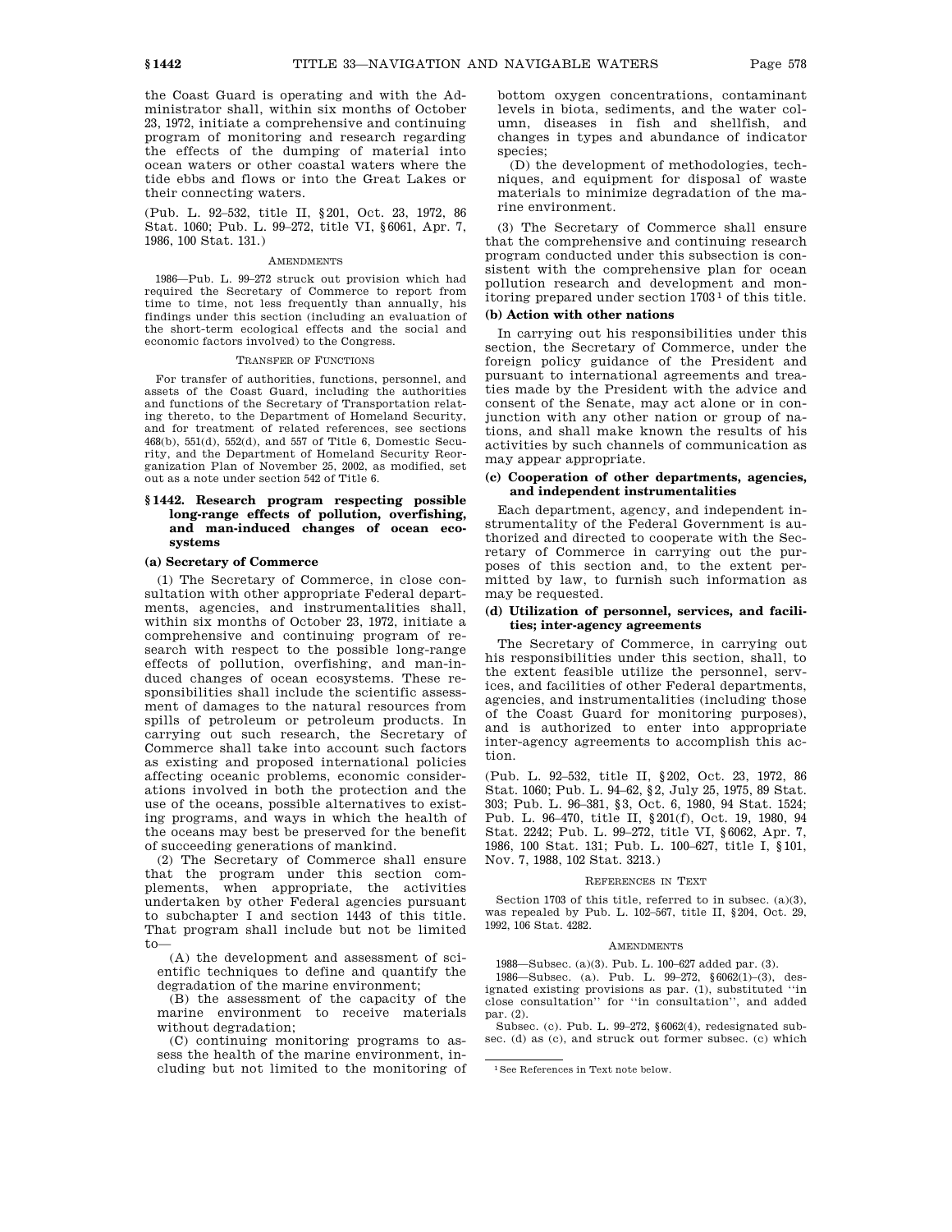the Coast Guard is operating and with the Administrator shall, within six months of October 23, 1972, initiate a comprehensive and continuing program of monitoring and research regarding the effects of the dumping of material into ocean waters or other coastal waters where the tide ebbs and flows or into the Great Lakes or their connecting waters.

(Pub. L. 92–532, title II, §201, Oct. 23, 1972, 86 Stat. 1060; Pub. L. 99–272, title VI, §6061, Apr. 7, 1986, 100 Stat. 131.)

#### AMENDMENTS

1986—Pub. L. 99–272 struck out provision which had required the Secretary of Commerce to report from time to time, not less frequently than annually, his findings under this section (including an evaluation of the short-term ecological effects and the social and economic factors involved) to the Congress.

#### TRANSFER OF FUNCTIONS

For transfer of authorities, functions, personnel, and assets of the Coast Guard, including the authorities and functions of the Secretary of Transportation relating thereto, to the Department of Homeland Security, and for treatment of related references, see sections 468(b), 551(d), 552(d), and 557 of Title 6, Domestic Security, and the Department of Homeland Security Reorganization Plan of November 25, 2002, as modified, set out as a note under section 542 of Title 6.

#### **§ 1442. Research program respecting possible long-range effects of pollution, overfishing, and man-induced changes of ocean ecosystems**

# **(a) Secretary of Commerce**

(1) The Secretary of Commerce, in close consultation with other appropriate Federal departments, agencies, and instrumentalities shall, within six months of October 23, 1972, initiate a comprehensive and continuing program of research with respect to the possible long-range effects of pollution, overfishing, and man-induced changes of ocean ecosystems. These responsibilities shall include the scientific assessment of damages to the natural resources from spills of petroleum or petroleum products. In carrying out such research, the Secretary of Commerce shall take into account such factors as existing and proposed international policies affecting oceanic problems, economic considerations involved in both the protection and the use of the oceans, possible alternatives to existing programs, and ways in which the health of the oceans may best be preserved for the benefit of succeeding generations of mankind.

(2) The Secretary of Commerce shall ensure that the program under this section complements, when appropriate, the activities undertaken by other Federal agencies pursuant to subchapter I and section 1443 of this title. That program shall include but not be limited to—

(A) the development and assessment of scientific techniques to define and quantify the degradation of the marine environment;

(B) the assessment of the capacity of the marine environment to receive materials without degradation;

(C) continuing monitoring programs to assess the health of the marine environment, including but not limited to the monitoring of

bottom oxygen concentrations, contaminant levels in biota, sediments, and the water column, diseases in fish and shellfish, and changes in types and abundance of indicator species;

(D) the development of methodologies, techniques, and equipment for disposal of waste materials to minimize degradation of the marine environment.

(3) The Secretary of Commerce shall ensure that the comprehensive and continuing research program conducted under this subsection is consistent with the comprehensive plan for ocean pollution research and development and monitoring prepared under section  $1703^{\, \mathrm{1}}$  of this title.

# **(b) Action with other nations**

In carrying out his responsibilities under this section, the Secretary of Commerce, under the foreign policy guidance of the President and pursuant to international agreements and treaties made by the President with the advice and consent of the Senate, may act alone or in conjunction with any other nation or group of nations, and shall make known the results of his activities by such channels of communication as may appear appropriate.

# **(c) Cooperation of other departments, agencies, and independent instrumentalities**

Each department, agency, and independent instrumentality of the Federal Government is authorized and directed to cooperate with the Secretary of Commerce in carrying out the purposes of this section and, to the extent permitted by law, to furnish such information as may be requested.

# **(d) Utilization of personnel, services, and facilities; inter-agency agreements**

The Secretary of Commerce, in carrying out his responsibilities under this section, shall, to the extent feasible utilize the personnel, services, and facilities of other Federal departments, agencies, and instrumentalities (including those of the Coast Guard for monitoring purposes), and is authorized to enter into appropriate inter-agency agreements to accomplish this action.

(Pub. L. 92–532, title II, §202, Oct. 23, 1972, 86 Stat. 1060; Pub. L. 94–62, §2, July 25, 1975, 89 Stat. 303; Pub. L. 96–381, §3, Oct. 6, 1980, 94 Stat. 1524; Pub. L. 96–470, title II, §201(f), Oct. 19, 1980, 94 Stat. 2242; Pub. L. 99–272, title VI, §6062, Apr. 7, 1986, 100 Stat. 131; Pub. L. 100–627, title I, §101, Nov. 7, 1988, 102 Stat. 3213.)

#### REFERENCES IN TEXT

Section 1703 of this title, referred to in subsec. (a)(3), was repealed by Pub. L. 102–567, title II, §204, Oct. 29, 1992, 106 Stat. 4282.

#### AMENDMENTS

1988—Subsec. (a)(3). Pub. L. 100–627 added par. (3).

1986—Subsec. (a). Pub. L. 99–272, §6062(1)–(3), designated existing provisions as par. (1), substituted ''in close consultation'' for ''in consultation'', and added par. (2).

Subsec. (c). Pub. L. 99–272, §6062(4), redesignated subsec. (d) as (c), and struck out former subsec. (c) which

<sup>1</sup>See References in Text note below.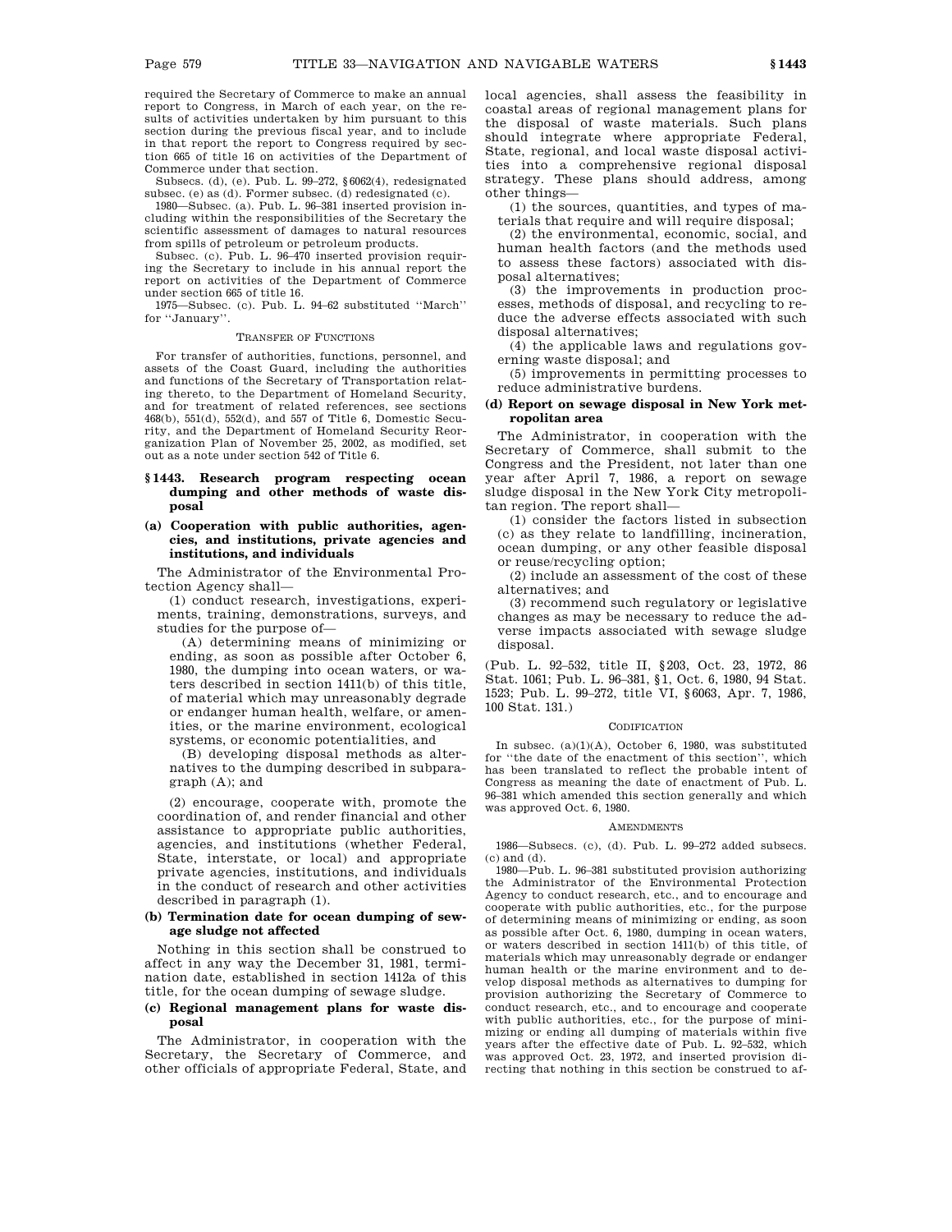required the Secretary of Commerce to make an annual report to Congress, in March of each year, on the results of activities undertaken by him pursuant to this section during the previous fiscal year, and to include in that report the report to Congress required by section 665 of title 16 on activities of the Department of Commerce under that section.

Subsecs. (d), (e). Pub. L. 99–272, §6062(4), redesignated subsec. (e) as (d). Former subsec. (d) redesignated (c).

1980—Subsec. (a). Pub. L. 96–381 inserted provision including within the responsibilities of the Secretary the scientific assessment of damages to natural resources from spills of petroleum or petroleum products.

Subsec. (c). Pub. L. 96–470 inserted provision requiring the Secretary to include in his annual report the report on activities of the Department of Commerce under section 665 of title 16.

1975—Subsec. (c). Pub. L. 94–62 substituted ''March'' for ''January''.

#### TRANSFER OF FUNCTIONS

For transfer of authorities, functions, personnel, and assets of the Coast Guard, including the authorities and functions of the Secretary of Transportation relating thereto, to the Department of Homeland Security, and for treatment of related references, see sections 468(b), 551(d), 552(d), and 557 of Title 6, Domestic Security, and the Department of Homeland Security Reorganization Plan of November 25, 2002, as modified, set out as a note under section 542 of Title 6.

## **§ 1443. Research program respecting ocean dumping and other methods of waste disposal**

**(a) Cooperation with public authorities, agencies, and institutions, private agencies and institutions, and individuals**

The Administrator of the Environmental Protection Agency shall—

(1) conduct research, investigations, experiments, training, demonstrations, surveys, and studies for the purpose of—

(A) determining means of minimizing or ending, as soon as possible after October 6, 1980, the dumping into ocean waters, or waters described in section 1411(b) of this title, of material which may unreasonably degrade or endanger human health, welfare, or amenities, or the marine environment, ecological systems, or economic potentialities, and

(B) developing disposal methods as alternatives to the dumping described in subparagraph (A); and

(2) encourage, cooperate with, promote the coordination of, and render financial and other assistance to appropriate public authorities, agencies, and institutions (whether Federal, State, interstate, or local) and appropriate private agencies, institutions, and individuals in the conduct of research and other activities described in paragraph (1).

# **(b) Termination date for ocean dumping of sewage sludge not affected**

Nothing in this section shall be construed to affect in any way the December 31, 1981, termination date, established in section 1412a of this title, for the ocean dumping of sewage sludge.

#### **(c) Regional management plans for waste disposal**

The Administrator, in cooperation with the Secretary, the Secretary of Commerce, and other officials of appropriate Federal, State, and local agencies, shall assess the feasibility in coastal areas of regional management plans for the disposal of waste materials. Such plans should integrate where appropriate Federal, State, regional, and local waste disposal activities into a comprehensive regional disposal strategy. These plans should address, among other things—

(1) the sources, quantities, and types of materials that require and will require disposal;

(2) the environmental, economic, social, and human health factors (and the methods used to assess these factors) associated with disposal alternatives;

(3) the improvements in production processes, methods of disposal, and recycling to reduce the adverse effects associated with such disposal alternatives;

(4) the applicable laws and regulations governing waste disposal; and

(5) improvements in permitting processes to reduce administrative burdens.

#### **(d) Report on sewage disposal in New York metropolitan area**

The Administrator, in cooperation with the Secretary of Commerce, shall submit to the Congress and the President, not later than one year after April 7, 1986, a report on sewage sludge disposal in the New York City metropolitan region. The report shall—

(1) consider the factors listed in subsection (c) as they relate to landfilling, incineration, ocean dumping, or any other feasible disposal or reuse/recycling option;

(2) include an assessment of the cost of these alternatives; and

(3) recommend such regulatory or legislative changes as may be necessary to reduce the adverse impacts associated with sewage sludge disposal.

(Pub. L. 92–532, title II, §203, Oct. 23, 1972, 86 Stat. 1061; Pub. L. 96–381, §1, Oct. 6, 1980, 94 Stat. 1523; Pub. L. 99–272, title VI, §6063, Apr. 7, 1986, 100 Stat. 131.)

#### CODIFICATION

In subsec. (a)(1)(A), October 6, 1980, was substituted for ''the date of the enactment of this section'', which has been translated to reflect the probable intent of Congress as meaning the date of enactment of Pub. L. 96–381 which amended this section generally and which was approved Oct. 6, 1980.

#### AMENDMENTS

1986—Subsecs. (c), (d). Pub. L. 99–272 added subsecs. (c) and (d).

1980—Pub. L. 96–381 substituted provision authorizing the Administrator of the Environmental Protection Agency to conduct research, etc., and to encourage and cooperate with public authorities, etc., for the purpose of determining means of minimizing or ending, as soon as possible after Oct. 6, 1980, dumping in ocean waters, or waters described in section 1411(b) of this title, of materials which may unreasonably degrade or endanger human health or the marine environment and to develop disposal methods as alternatives to dumping for provision authorizing the Secretary of Commerce to conduct research, etc., and to encourage and cooperate with public authorities, etc., for the purpose of minimizing or ending all dumping of materials within five years after the effective date of Pub. L. 92–532, which was approved Oct. 23, 1972, and inserted provision directing that nothing in this section be construed to af